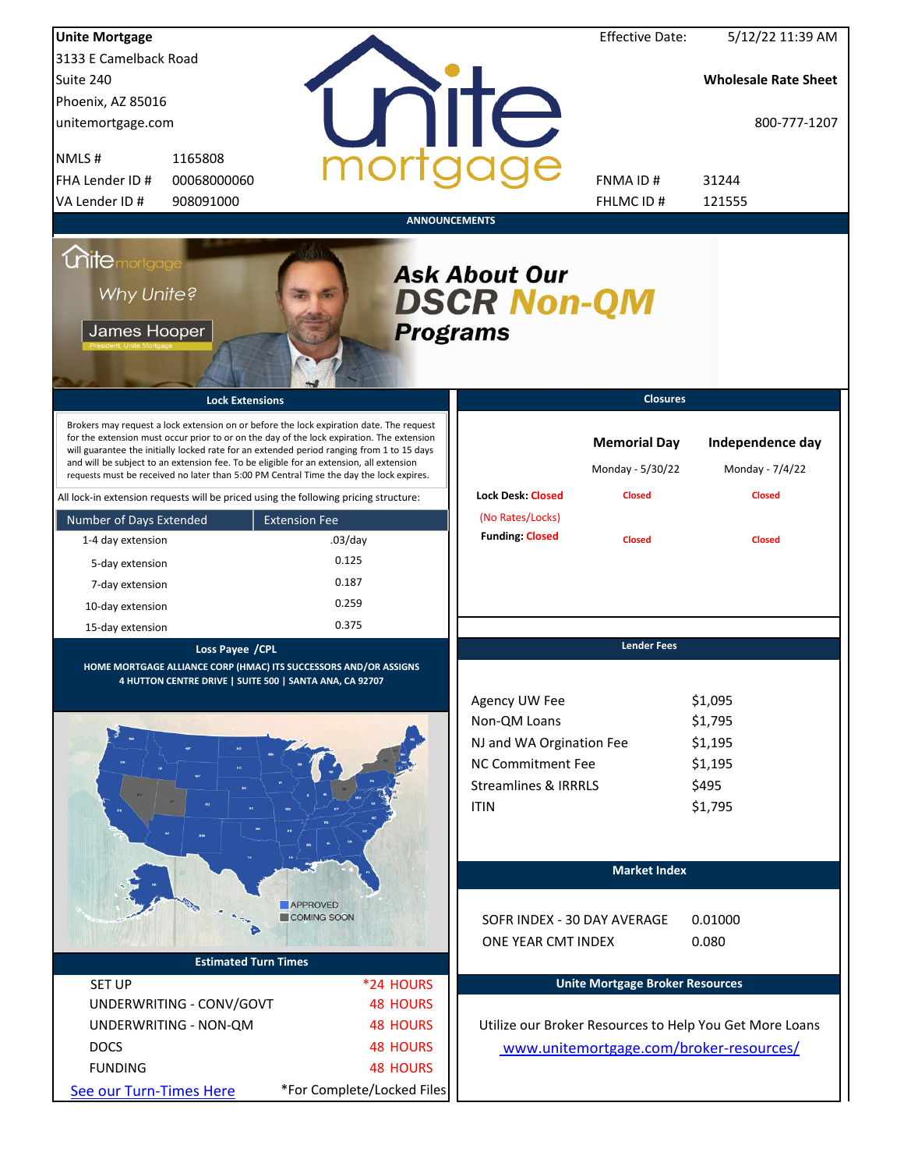| <b>Unite Mortgage</b>                                                                                                                                                                                                                                                                                                                                                                                                                                                  |                            |                                            | <b>Effective Date:</b>                                   | 5/12/22 11:39 AM                                        |
|------------------------------------------------------------------------------------------------------------------------------------------------------------------------------------------------------------------------------------------------------------------------------------------------------------------------------------------------------------------------------------------------------------------------------------------------------------------------|----------------------------|--------------------------------------------|----------------------------------------------------------|---------------------------------------------------------|
| 3133 E Camelback Road                                                                                                                                                                                                                                                                                                                                                                                                                                                  |                            |                                            |                                                          |                                                         |
| Suite 240                                                                                                                                                                                                                                                                                                                                                                                                                                                              |                            |                                            |                                                          | <b>Wholesale Rate Sheet</b>                             |
| Phoenix, AZ 85016                                                                                                                                                                                                                                                                                                                                                                                                                                                      |                            |                                            |                                                          |                                                         |
| unitemortgage.com                                                                                                                                                                                                                                                                                                                                                                                                                                                      |                            | <b>Tite</b>                                |                                                          | 800-777-1207                                            |
| NMLS#<br>1165808                                                                                                                                                                                                                                                                                                                                                                                                                                                       |                            |                                            |                                                          |                                                         |
| FHA Lender ID #<br>00068000060                                                                                                                                                                                                                                                                                                                                                                                                                                         |                            |                                            | FNMA ID#                                                 | 31244                                                   |
| VA Lender ID #<br>908091000                                                                                                                                                                                                                                                                                                                                                                                                                                            |                            |                                            | FHLMC ID#                                                | 121555                                                  |
|                                                                                                                                                                                                                                                                                                                                                                                                                                                                        | <b>ANNOUNCEMENTS</b>       |                                            |                                                          |                                                         |
| <b>Chitemortgage</b><br>Why Unite?<br>James Hooper                                                                                                                                                                                                                                                                                                                                                                                                                     | <b>Programs</b>            | <b>Ask About Our</b><br><b>DSCR Non-QM</b> |                                                          |                                                         |
| <b>Lock Extensions</b>                                                                                                                                                                                                                                                                                                                                                                                                                                                 |                            |                                            | <b>Closures</b>                                          |                                                         |
| Brokers may request a lock extension on or before the lock expiration date. The request<br>for the extension must occur prior to or on the day of the lock expiration. The extension<br>will guarantee the initially locked rate for an extended period ranging from 1 to 15 days<br>and will be subject to an extension fee. To be eligible for an extension, all extension<br>requests must be received no later than 5:00 PM Central Time the day the lock expires. |                            | <b>Lock Desk: Closed</b>                   | <b>Memorial Day</b><br>Monday - 5/30/22<br><b>Closed</b> | Independence day<br>Monday - 7/4/22<br><b>Closed</b>    |
| All lock-in extension requests will be priced using the following pricing structure:                                                                                                                                                                                                                                                                                                                                                                                   |                            |                                            |                                                          |                                                         |
| Number of Days Extended                                                                                                                                                                                                                                                                                                                                                                                                                                                | <b>Extension Fee</b>       | (No Rates/Locks)<br><b>Funding: Closed</b> |                                                          |                                                         |
| 1-4 day extension                                                                                                                                                                                                                                                                                                                                                                                                                                                      | $.03$ /day                 |                                            | <b>Closed</b>                                            | <b>Closed</b>                                           |
| 5-day extension                                                                                                                                                                                                                                                                                                                                                                                                                                                        | 0.125                      |                                            |                                                          |                                                         |
| 7-day extension                                                                                                                                                                                                                                                                                                                                                                                                                                                        | 0.187                      |                                            |                                                          |                                                         |
| 10-day extension                                                                                                                                                                                                                                                                                                                                                                                                                                                       | 0.259                      |                                            |                                                          |                                                         |
| 15-day extension                                                                                                                                                                                                                                                                                                                                                                                                                                                       | 0.375                      |                                            |                                                          |                                                         |
| Loss Payee / CPL<br>HOME MORTGAGE ALLIANCE CORP (HMAC) ITS SUCCESSORS AND/OR ASSIGNS<br>4 HUTTON CENTRE DRIVE   SUITE 500   SANTA ANA, CA 92707                                                                                                                                                                                                                                                                                                                        |                            | Agency UW Fee                              | <b>Lender Fees</b>                                       | \$1,095                                                 |
|                                                                                                                                                                                                                                                                                                                                                                                                                                                                        |                            | Non-QM Loans                               |                                                          | \$1,795                                                 |
|                                                                                                                                                                                                                                                                                                                                                                                                                                                                        |                            | NJ and WA Orgination Fee                   |                                                          | \$1,195                                                 |
|                                                                                                                                                                                                                                                                                                                                                                                                                                                                        |                            | NC Commitment Fee                          |                                                          | \$1,195                                                 |
|                                                                                                                                                                                                                                                                                                                                                                                                                                                                        |                            | <b>Streamlines &amp; IRRRLS</b>            |                                                          | \$495                                                   |
|                                                                                                                                                                                                                                                                                                                                                                                                                                                                        |                            | <b>ITIN</b>                                |                                                          | \$1,795                                                 |
|                                                                                                                                                                                                                                                                                                                                                                                                                                                                        |                            |                                            | <b>Market Index</b>                                      |                                                         |
|                                                                                                                                                                                                                                                                                                                                                                                                                                                                        | <b>APPROVED</b>            |                                            |                                                          |                                                         |
|                                                                                                                                                                                                                                                                                                                                                                                                                                                                        | COMING SOON                | SOFR INDEX - 30 DAY AVERAGE                |                                                          | 0.01000                                                 |
|                                                                                                                                                                                                                                                                                                                                                                                                                                                                        |                            | ONE YEAR CMT INDEX                         |                                                          | 0.080                                                   |
| <b>Estimated Turn Times</b>                                                                                                                                                                                                                                                                                                                                                                                                                                            |                            |                                            |                                                          |                                                         |
| <b>SET UP</b>                                                                                                                                                                                                                                                                                                                                                                                                                                                          | *24 HOURS                  |                                            | <b>Unite Mortgage Broker Resources</b>                   |                                                         |
| UNDERWRITING - CONV/GOVT                                                                                                                                                                                                                                                                                                                                                                                                                                               | <b>48 HOURS</b>            |                                            |                                                          |                                                         |
| UNDERWRITING - NON-QM                                                                                                                                                                                                                                                                                                                                                                                                                                                  | <b>48 HOURS</b>            |                                            |                                                          | Utilize our Broker Resources to Help You Get More Loans |
| <b>DOCS</b>                                                                                                                                                                                                                                                                                                                                                                                                                                                            | <b>48 HOURS</b>            |                                            |                                                          | www.unitemortgage.com/broker-resources/                 |
| <b>FUNDING</b>                                                                                                                                                                                                                                                                                                                                                                                                                                                         | <b>48 HOURS</b>            |                                            |                                                          |                                                         |
| See our Turn-Times Here                                                                                                                                                                                                                                                                                                                                                                                                                                                | *For Complete/Locked Files |                                            |                                                          |                                                         |
|                                                                                                                                                                                                                                                                                                                                                                                                                                                                        |                            |                                            |                                                          |                                                         |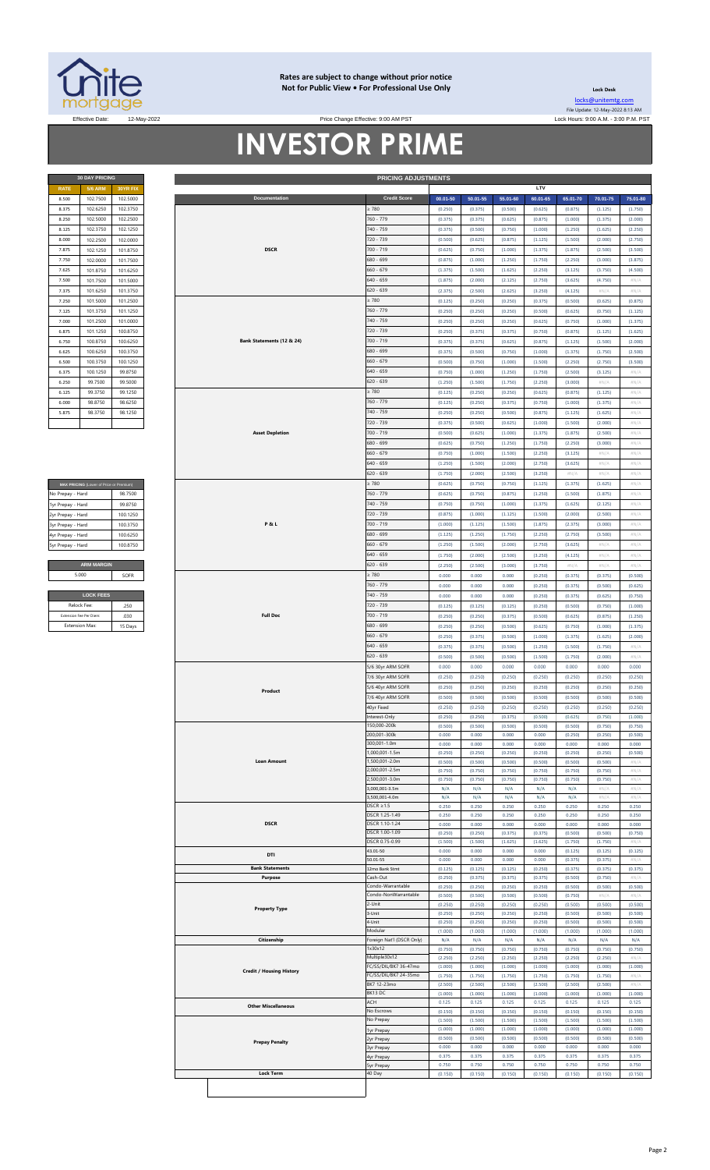

#### **Rates are subject to change without prior notice Not for Public View • For Professional Use Only Lock Desk**

**30 DAY PRICING PRICING ADJUSTMENTS**

[locks@unitemtg](mailto:locks@unitemtg.com).com File Update: 12-May-2022 8:13 AM Effective Date: 12-May-2022 2009. The State of the State of Price Change Effective: 9:00 AM PST And the Lock Hours: 9:00 A.M. - 3:00 P.M. PST

## **INVESTOR PRIME** Price Change Effective: 9:00 AM PST

| <b>30 DAY PRICING</b> |                 |          |  |  |  |  |
|-----------------------|-----------------|----------|--|--|--|--|
| <b>RATE</b>           | <b>30YR FIX</b> |          |  |  |  |  |
| 8.500                 | 102.7500        | 102.5000 |  |  |  |  |
| 8.375                 | 102.6250        | 102.3750 |  |  |  |  |
| 8.250                 | 102.5000        | 102.2500 |  |  |  |  |
| 8.125                 | 102.3750        | 102.1250 |  |  |  |  |
| 8.000                 | 102.2500        | 102.0000 |  |  |  |  |
| 7.875                 | 102.1250        | 101.8750 |  |  |  |  |
| 7.750                 | 102.0000        | 101.7500 |  |  |  |  |
| 7.625                 | 101.8750        | 101.6250 |  |  |  |  |
| 7.500                 | 101.7500        | 101.5000 |  |  |  |  |
| 7.375                 | 101.6250        | 101.3750 |  |  |  |  |
| 7.250                 | 101.5000        | 101.2500 |  |  |  |  |
| 7.125                 | 101.3750        | 101.1250 |  |  |  |  |
| 7.000                 | 101.2500        | 101.0000 |  |  |  |  |
| 6.875                 | 101.1250        | 100.8750 |  |  |  |  |
| 6.750                 | 100.8750        | 100.6250 |  |  |  |  |
| 6.625                 | 100.6250        | 100.3750 |  |  |  |  |
| 6.500                 | 100.3750        | 100.1250 |  |  |  |  |
| 6.375                 | 100.1250        | 99.8750  |  |  |  |  |
| 6.250                 | 99.7500         | 99.5000  |  |  |  |  |
| 6.125                 | 99.3750         | 99.1250  |  |  |  |  |
| 6.000                 | 98.8750         | 98.6250  |  |  |  |  |
| 5.875                 | 98.3750         | 98.1250  |  |  |  |  |
|                       |                 |          |  |  |  |  |

| MAX PRICING (Lower of Price or Premium) |          |  |  |  |  |  |
|-----------------------------------------|----------|--|--|--|--|--|
| No Prepay - Hard                        | 98.7500  |  |  |  |  |  |
| 1yr Prepay - Hard                       | 99 8750  |  |  |  |  |  |
| 2yr Prepay - Hard                       | 100.1250 |  |  |  |  |  |
| 3yr Prepay - Hard                       | 100 3750 |  |  |  |  |  |
| 4yr Prepay - Hard                       | 100 6250 |  |  |  |  |  |
| 5yr Prepay - Hard                       | 100.8750 |  |  |  |  |  |
|                                         |          |  |  |  |  |  |
| <b>ARM MARGIN</b>                       |          |  |  |  |  |  |
| 5.000                                   | SOFR     |  |  |  |  |  |
|                                         |          |  |  |  |  |  |
| <b>LOCK FEES</b>                        |          |  |  |  |  |  |

| Relock Fee:             | 250     |
|-------------------------|---------|
| Extension Fee Per Diem: | 030     |
| <b>Extension Max:</b>   | 15 Days |
|                         |         |

| 8.500<br>8.375    | <b>5/6 ARM</b>                          | 30YR FIX |                                 |                           |          |          |          | LTV      |          |          |                            |
|-------------------|-----------------------------------------|----------|---------------------------------|---------------------------|----------|----------|----------|----------|----------|----------|----------------------------|
|                   | 102.7500                                | 102.5000 | Documentation                   | <b>Credit Score</b>       | 00.01-50 | 50.01-55 | 55.01-60 | 60.01-65 | 65.01-70 | 70.01-75 | 75.01-80                   |
|                   |                                         |          |                                 |                           |          |          |          |          |          |          |                            |
|                   | 102.6250                                | 102.3750 |                                 | $\geq 780$                | (0.250)  | (0.375)  | (0.500)  | (0.625)  | (0.875)  | (1.125)  | (1.750)                    |
| 8.250             | 102.5000                                | 102.2500 |                                 | 760 - 779                 | (0.375)  | (0.375)  | (0.625)  | (0.875)  | (1.000)  | (1.375)  | (2.000)                    |
| 8.125             | 102.3750                                | 102.1250 |                                 | 740 - 759                 | (0.375)  | (0.500)  | (0.750)  | (1.000)  | (1.250)  | (1.625)  | (2.250)                    |
|                   |                                         |          |                                 |                           |          |          |          |          |          |          |                            |
| 8,000             | 102.2500                                | 102.0000 |                                 | 720 - 739                 | (0.500)  | (0.625)  | (0.875)  | (1.125)  | (1.500)  | (2.000)  | (2.750)                    |
| 7.875             | 102.1250                                | 101.8750 | <b>DSCR</b>                     | 700 - 719                 | (0.625)  | (0.750)  | (1.000)  | (1.375)  | (1.875)  | (2.500)  | (3.500)                    |
| 7.750             | 102.0000                                | 101.7500 |                                 | 680 - 699                 | (0.875)  | (1.000)  | (1.250)  | (1.750)  | (2.250)  | (3.000)  | (3.875)                    |
| 7.625             |                                         |          |                                 | $660 - 679$               |          |          |          |          |          |          |                            |
|                   | 101.8750                                | 101.6250 |                                 |                           | (1.375)  | (1.500)  | (1.625)  | (2.250)  | (3.125)  | (3.750)  | (4.500)                    |
| 7.500             | 101.7500                                | 101.5000 |                                 | $640 - 659$               | (1.875)  | (2.000)  | (2.125)  | (2.750)  | (3.625)  | (4.750)  | #N/A                       |
| 7.375             | 101.6250                                | 101.3750 |                                 | 620 - 639                 | (2.375)  | (2.500)  | (2.625)  | (3.250)  | (4.125)  | $\#N/A$  | #N/A                       |
| 7.250             | 101.5000                                | 101.2500 |                                 | $\geq 780$                | (0.125)  | (0.250)  | (0.250)  | (0.375)  | (0.500)  | (0.625)  | (0.875)                    |
|                   |                                         |          |                                 |                           |          |          |          |          |          |          |                            |
| 7.125             | 101.3750                                | 101.1250 |                                 | 760 - 779                 | (0.250)  | (0.250)  | (0.250)  | (0.500)  | (0.625)  | (0.750)  | (1.125)                    |
| 7.000             | 101.2500                                | 101.0000 |                                 | 740 - 759                 | (0.250)  | (0.250)  | (0.250)  | (0.625)  | (0.750)  | (1.000)  | (1.375)                    |
| 6.875             | 101.1250                                | 100.8750 |                                 | 720 - 739                 | (0.250)  | (0.375)  | (0.375)  | (0.750)  | (0.875)  | (1.125)  | (1.625)                    |
| 6.750             | 100.8750                                | 100.6250 | Bank Statements (12 & 24)       | 700 - 719                 | (0.375)  | (0.375)  | (0.625)  | (0.875)  | (1.125)  | (1.500)  | (2.000)                    |
|                   |                                         |          |                                 |                           |          |          |          |          |          |          |                            |
| 6.625             | 100.6250                                | 100.3750 |                                 | 680 - 699                 | (0.375)  | (0.500)  | (0.750)  | (1.000)  | (1.375)  | (1.750)  | (2.500)                    |
| 6.500             | 100.3750                                | 100.1250 |                                 | $660 - 679$               | (0.500)  | (0.750)  | (1.000)  | (1.500)  | (2.250)  | (2.750)  | (3.500)                    |
| 6.375             | 100.1250                                | 99.8750  |                                 | $640 - 659$               | (0.750)  | (1.000)  | (1.250)  | (1.750)  | (2.500)  | (3.125)  | $\# \mathbb{N}/\mathbb{A}$ |
| 6.250             | 99.7500                                 | 99.5000  |                                 | 620 - 639                 | (1.250)  | (1.500)  | (1.750)  | (2.250)  | (3.000)  | #N/A     | #N/A                       |
|                   |                                         |          |                                 |                           |          |          |          |          |          |          |                            |
| 6.125             | 99.3750                                 | 99.1250  |                                 | $\geq 780$                | (0.125)  | (0.250)  | (0.250)  | (0.625)  | (0.875)  | (1.125)  | #N/A                       |
| 6.000             | 98.8750                                 | 98.6250  |                                 | 760 - 779                 | (0.125)  | (0.250)  | (0.375)  | (0.750)  | (1.000)  | (1.375)  | #N/A                       |
| 5.875             | 98.3750                                 | 98.1250  |                                 | 740 - 759                 | (0.250)  | (0.250)  | (0.500)  | (0.875)  | (1.125)  | (1.625)  | #N/A                       |
|                   |                                         |          |                                 | 720 - 739                 |          |          |          |          |          |          |                            |
|                   |                                         |          |                                 |                           | (0.375)  | (0.500)  | (0.625)  | (1.000)  | (1.500)  | (2.000)  | #N/A                       |
|                   |                                         |          | <b>Asset Depletion</b>          | $700 - 719$               | (0.500)  | (0.625)  | (1.000)  | (1.375)  | (1.875)  | (2.500)  | #N/A                       |
|                   |                                         |          |                                 | 680 - 699                 | (0.625)  | (0.750)  | (1.250)  | (1.750)  | (2.250)  | (3.000)  | #N/A                       |
|                   |                                         |          |                                 | $660 - 679$               | (0.750)  | (1.000)  | (1.500)  | (2.250)  | (3.125)  | #N/A     | #N/A                       |
|                   |                                         |          |                                 | 640 - 659                 | (1.250)  | (1.500)  | (2.000)  | (2.750)  | (3.625)  | $\#N/A$  | #N/A                       |
|                   |                                         |          |                                 |                           |          |          |          |          |          |          |                            |
|                   |                                         |          |                                 | 620 - 639                 | (1.750)  | (2.000)  | (2.500)  | (3.250)  | $\#N/A$  | #N/A     | #N/A                       |
|                   | MAX PRICING (Lower of Price or Premium) |          |                                 | $\geq 780$                | (0.625)  | (0.750)  | (0.750)  | (1.125)  | (1.375)  | (1.625)  | #N/A                       |
| No Prepay - Hard  |                                         | 98.7500  |                                 | 760 - 779                 | (0.625)  | (0.750)  | (0.875)  | (1.250)  | (1.500)  | (1.875)  | $\# \mathbb{N}/\mathbb{A}$ |
|                   |                                         | 99.8750  |                                 | 740 - 759                 |          |          | (1.000)  | (1.375)  | (1.625)  |          | #N/A                       |
| 1yr Prepay - Hard |                                         |          |                                 |                           | (0.750)  | (0.750)  |          |          |          | (2.125)  |                            |
| 2yr Prepay - Hard |                                         | 100.1250 |                                 | 720 - 739                 | (0.875)  | (1.000)  | (1.125)  | (1.500)  | (2.000)  | (2.500)  | #N/A                       |
| 3yr Prepay - Hard |                                         | 100.3750 | <b>P&amp;L</b>                  | 700 - 719                 | (1.000)  | (1.125)  | (1.500)  | (1.875)  | (2.375)  | (3.000)  | #N/A                       |
| 4yr Prepay - Hard |                                         | 100.6250 |                                 | 680 - 699                 | (1.125)  | (1.250)  | (1.750)  | (2.250)  | (2.750)  | (3.500)  | #N/A                       |
| 5yr Prepay - Hard |                                         | 100.8750 |                                 | $660 - 679$               | (1.250)  | (1.500)  | (2.000)  | (2.750)  | (3.625)  | #N/A     | #N/A                       |
|                   |                                         |          |                                 |                           |          |          |          |          |          |          |                            |
|                   |                                         |          |                                 | $640 - 659$               | (1.750)  | (2.000)  | (2.500)  | (3.250)  | (4.125)  | $\#N/A$  | #N/A                       |
|                   | <b>ARM MARGIN</b>                       |          |                                 | $620 - 639$               | (2.250)  | (2.500)  | (3.000)  | (3.750)  | #N/A     | #N/A     | #N/A                       |
|                   | 5.000                                   | SOFR     |                                 | $\geq 780$                | 0.000    | 0.000    | 0.000    | (0.250)  | (0.375)  | (0.375)  | (0.500)                    |
|                   |                                         |          |                                 | 760 - 779                 | 0.000    | 0.000    | 0.000    | (0.250)  | (0.375)  | (0.500)  | (0.625)                    |
|                   | <b>LOCK FEES</b>                        |          |                                 | 740 - 759                 |          |          |          |          |          |          |                            |
|                   |                                         |          |                                 |                           | 0.000    | 0.000    | 0.000    | (0.250)  | (0.375)  | (0.625)  | (0.750)                    |
|                   | Relock Fee                              | .250     |                                 | 720 - 739                 | (0.125)  | (0.125)  | (0.125)  | (0.250)  | (0.500)  | (0.750)  | (1.000)                    |
|                   | Extension Fee Per Diem                  | .030     | <b>Full Doc</b>                 | 700 - 719                 | (0.250)  | (0.250)  | (0.375)  | (0.500)  | (0.625)  | (0.875)  | (1.250)                    |
|                   | <b>Extension Max:</b>                   | 15 Days  |                                 | 680 - 699                 | (0.250)  | (0.250)  | (0.500)  | (0.625)  | (0.750)  | (1.000)  | (1.375)                    |
|                   |                                         |          |                                 | $660 - 679$               | (0.250)  | (0.375)  | (0.500)  | (1.000)  | (1.375)  | (1.625)  | (2.000)                    |
|                   |                                         |          |                                 |                           |          |          |          |          |          |          |                            |
|                   |                                         |          |                                 | $640 - 659$               | (0.375)  | (0.375)  | (0.500)  | (1.250)  | (1.500)  | (1.750)  | #N/A                       |
|                   |                                         |          |                                 | $620 - 639$               | (0.500)  | (0.500)  | (0.500)  | (1.500)  | (1.750)  | (2.000)  | #N/A                       |
|                   |                                         |          |                                 | 5/6 30yr ARM SOFR         | 0.000    | 0.000    | 0.000    | 0.000    | 0.000    | 0.000    | 0.000                      |
|                   |                                         |          |                                 | 7/6 30yr ARM SOFR         | (0.250)  | (0.250)  | (0.250)  | (0.250)  | (0.250)  | (0.250)  | (0.250)                    |
|                   |                                         |          |                                 |                           |          |          |          |          |          |          |                            |
|                   |                                         |          | Product                         | 5/6 40yr ARM SOFR         | (0.250)  | (0.250)  | (0.250)  | (0.250)  | (0.250)  | (0.250)  | (0.250)                    |
|                   |                                         |          |                                 | 7/6 40yr ARM SOFR         | (0.500)  | (0.500)  | (0.500)  | (0.500)  | (0.500)  | (0.500)  | (0.500)                    |
|                   |                                         |          |                                 | 4Uyr Fixea                | (0.250)  | (0.250)  | (0.250)  | (0.250)  | (0.250)  | (0.250)  | (0.250)                    |
|                   |                                         |          |                                 | Interest-Only             | (0.250)  | (0.250)  | (0.375)  | (0.500)  | (0.625)  | (0.750)  | (1.000)                    |
|                   |                                         |          |                                 | 150,000-200k              | (0.500)  | (0.500)  | (0.500)  | (0.500)  | (0.500)  | (0.750)  | (0.750)                    |
|                   |                                         |          |                                 | 200,001-300k              | 0.000    | 0.000    | 0.000    | 0.000    | (0.250)  | (0.250)  | (0.500)                    |
|                   |                                         |          |                                 | 300,001-1.0m              | 0.000    | 0.000    | 0.000    | 0.000    | 0.000    | 0.000    | 0.000                      |
|                   |                                         |          |                                 | 1,000,001-1.5m            | (0.250)  | (0.250)  | (0.250)  | (0.250)  | (0.250)  | (0.250)  | (0.500)                    |
|                   |                                         |          | <b>Loan Amount</b>              | 1,500,001-2.0m            | (0.500)  | (0.500)  | (0.500)  | (0.500)  | (0.500)  | (0.500)  | #N/A                       |
|                   |                                         |          |                                 | 2,000,001-2.5m            |          |          |          |          |          |          |                            |
|                   |                                         |          |                                 | 2.500.001-3.0m            | (0.750)  | (0.750)  | (0.750)  | (0.750)  | (0.750)  | (0.750)  |                            |
|                   |                                         |          |                                 |                           | (0.750)  | (0.750)  | (0.750)  | (0.750)  | (0.750)  |          | #N/A                       |
|                   |                                         |          |                                 | 3,000,001-3.5m            | N/A      | N/A      | N/A      |          |          | (0.750)  | #N/ $\rho$                 |
|                   |                                         |          |                                 |                           |          |          |          | N/A      | N/A      | #N/A     | #N/A                       |
|                   |                                         |          |                                 | 3,500,001-4.0m            | N/A      | N/A      | N/A      | N/A      | N/A      | #N/ $/$  | #N/A                       |
|                   |                                         |          |                                 | $DSCR \geq 1.5$           | 0.250    | 0.250    | 0.250    | 0.250    | 0.250    | 0.250    | 0.250                      |
|                   |                                         |          |                                 | DSCR 1.25-1.49            | 0.250    | 0.250    | 0.250    | 0.250    | 0.250    | 0.250    | 0.250                      |
|                   |                                         |          | <b>DSCR</b>                     | DSCR 1.10-1.24            | 0.000    | 0.000    | 0.000    | 0.000    | 0.000    | 0.000    | 0.000                      |
|                   |                                         |          |                                 | DSCR 1.00-1.09            | (0.250)  | (0.250)  | (0.375)  | (0.375)  | (0.500)  | (0.500)  | (0.750)                    |
|                   |                                         |          |                                 | DSCR 0.75-0.99            | (1.500)  | (1.500)  | (1.625)  | (1.625)  | (1.750)  | (1.750)  | $\#N/2$                    |
|                   |                                         |          |                                 | 43.01-50                  | 0.000    | 0.000    | 0.000    | 0.000    | (0.125)  | (0.125)  | (0.125)                    |
|                   |                                         |          | DTI                             | 50.01-55                  | 0.000    | 0.000    | 0.000    | 0.000    | (0.375)  | (0.375)  | #N.                        |
|                   |                                         |          | <b>Bank Statements</b>          | 12mo Bank Stmt            | (0.125)  | (0.125)  | (0.125)  | (0.250)  | (0.375)  | (0.375)  | (0.375)                    |
|                   |                                         |          | Purpose                         | Cash-Out                  | (0.250)  | (0.375)  | (0.375)  | (0.375)  | (0.500)  | (0.750)  | #N/A                       |
|                   |                                         |          |                                 | Condo-Warrantable         | (0.250)  | (0.250)  | (0.250)  | (0.250)  | (0.500)  | (0.500)  | (0.500)                    |
|                   |                                         |          |                                 | Condo-NonWarrantable      | (0.500)  | (0.500)  | (0.500)  | (0.500)  | (0.750)  | $\#N/I$  | $\#N/\beta$                |
|                   |                                         |          |                                 | 2-Unit                    | (0.250)  | (0.250)  | (0.250)  | (0.250)  |          | (0.500)  | (0.500)                    |
|                   |                                         |          | <b>Property Type</b>            | 3-Unit                    |          |          |          |          | (0.500)  |          | (0.500)                    |
|                   |                                         |          |                                 |                           | (0.250)  | (0.250)  | (0.250)  | (0.250)  | (0.500)  | (0.500)  |                            |
|                   |                                         |          |                                 | 4-Unit<br>Modular         | (0.250)  | (0.250)  | (0.250)  | (0.250)  | (0.500)  | (0.500)  | (0.500)                    |
|                   |                                         |          |                                 |                           | (1.000)  | (1.000)  | (1.000)  | (1.000)  | (1.000)  | (1.000)  | (1.000)                    |
|                   |                                         |          | Citizenship                     | Foreign Nat'l (DSCR Only) | N/A      | N/A      | N/A      | N/A      | N/A      | N/A      | N/A                        |
|                   |                                         |          |                                 | 1x30x12                   | (0.750)  | (0.750)  | (0.750)  | (0.750)  | (0.750)  | (0.750)  | (0.750)                    |
|                   |                                         |          |                                 | Multiple30x12             | (2.250)  | (2.250)  | (2.250)  | (2.250)  | (2.250)  | (2.250)  | #N/A                       |
|                   |                                         |          | <b>Credit / Housing History</b> | FC/SS/DIL/BK7 36-47mo     | (1.000)  | (1.000)  | (1.000)  | (1.000)  | (1.000)  | (1.000)  | (1.000)                    |
|                   |                                         |          |                                 | FC/SS/DIL/BK7 24-35mo     | (1.750)  | (1.750)  | (1.750)  | (1.750)  | (1.750)  | (1.750)  | #N/A                       |
|                   |                                         |          |                                 | BK7 12-23mo               | (2.500)  | (2.500)  | (2.500)  | (2.500)  | (2.500)  | (2.500)  | #N/A                       |
|                   |                                         |          |                                 | BK13 DC                   | (1.000)  | (1.000)  | (1.000)  | (1.000)  | (1.000)  | (1.000)  | (1.000)                    |
|                   |                                         |          | <b>Other Miscellaneous</b>      | ACH                       | 0.125    | 0.125    | 0.125    | 0.125    | 0.125    | 0.125    | 0.125                      |
|                   |                                         |          |                                 | No Escrows                | (0.150)  | (0.150)  | (0.150)  | (0.150)  | (0.150)  | (0.150)  | (0.150)                    |
|                   |                                         |          |                                 | No Prepay                 | (1.500)  | (1.500)  | (1.500)  | (1.500)  | (1.500)  | (1.500)  | (1.500)                    |
|                   |                                         |          |                                 | 1yr Prepay                | (1.000)  | (1.000)  | (1.000)  | (1.000)  | (1.000)  | (1.000)  | (1.000)                    |
|                   |                                         |          |                                 | 2yr Prepay                | (0.500)  | (0.500)  | (0.500)  | (0.500)  | (0.500)  | (0.500)  | (0.500)                    |
|                   |                                         |          | <b>Prepay Penalty</b>           | 3yr Prepay                | 0.000    | 0.000    | 0.000    | 0.000    | 0.000    | 0.000    | 0.000                      |
|                   |                                         |          |                                 | 4yr Prepay                | 0.375    | 0.375    | 0.375    | 0.375    | 0.375    | 0.375    | 0.375                      |
|                   |                                         |          |                                 | syr Prepay                | 0.750    | 0.750    | 0.750    | 0.750    | 0.750    | 0.750    | 0.750                      |
|                   |                                         |          | <b>Lock Term</b>                | 40 Day                    | (0.150)  | (0.150)  | (0.150)  | (0.150)  | (0.150)  | (0.150)  | (0.150)                    |
|                   |                                         |          |                                 |                           |          |          |          |          |          |          |                            |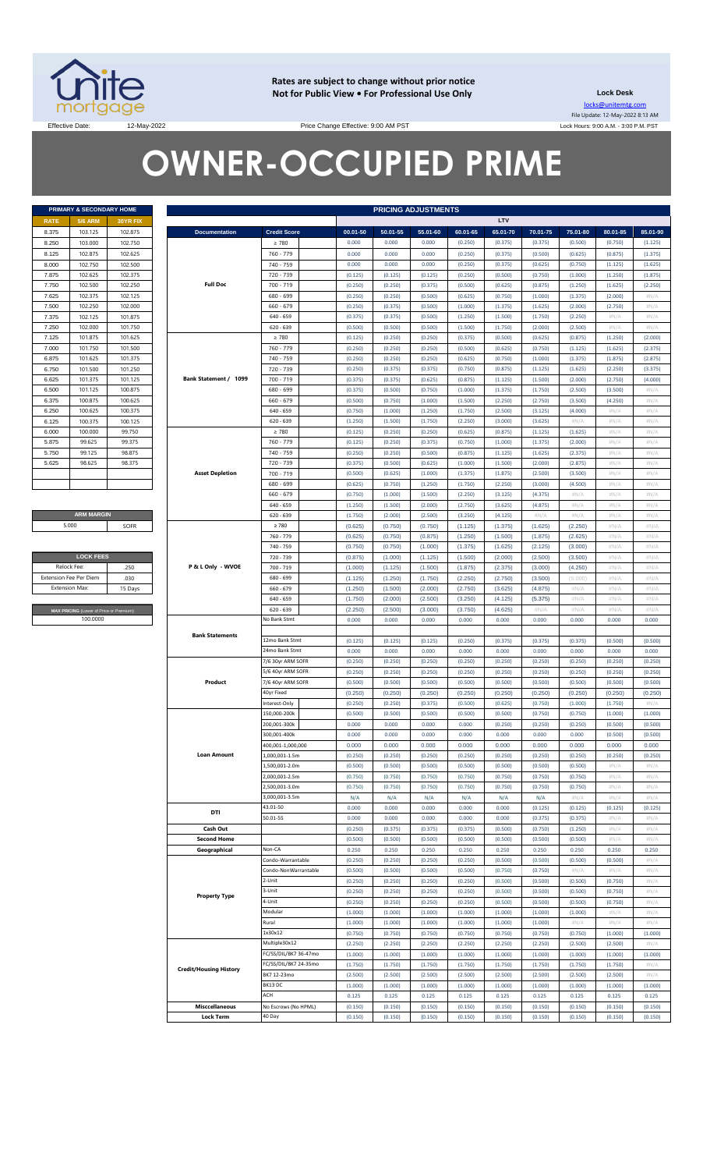

**Rates are subject to change without prior notice Not for Public View • For Professional Use Only Lock Desk**

locks@unitemtg.com File Update: 12-May-2022 8:13 AM Lock Hours: 9:00 A.M. - 3:00 P.M. PST

Effective Date: 12-May-2022 12-May-2022 Price Change Effective: 9:00 AM PST

# **OWNER-OCCUPIED PRIME**

|             | PRIMARY & SECONDARY HOME |                 |
|-------------|--------------------------|-----------------|
| <b>RATE</b> | <b>5/6 ARM</b>           | <b>30YR FIX</b> |
| 8.375       | 103.125                  | 102.875         |
| 8.250       | 103.000                  | 102.750         |
| 8.125       | 102.875                  | 102.625         |
| 8.000       | 102.750                  | 102.500         |
| 7.875       | 102.625                  | 102.375         |
| 7.750       | 102.500                  | 102.250         |
| 7.625       | 102.375                  | 102.125         |
| 7.500       | 102.250                  | 102.000         |
| 7.375       | 102.125                  | 101.875         |
| 7.250       | 102.000                  | 101.750         |
| 7.125       | 101.875                  | 101.625         |
| 7.000       | 101.750                  | 101.500         |
| 6.875       | 101.625                  | 101.375         |
| 6.750       | 101.500                  | 101.250         |
| 6.625       | 101.375                  | 101.125         |
| 6.500       | 101.125                  | 100.875         |
| 6.375       | 100.875                  | 100.625         |
| 6.250       | 100.625                  | 100.375         |
| 6.125       | 100.375                  | 100.125         |
| 6.000       | 100,000                  | 99.750          |
| 5.875       | 99.625                   | 99.375          |
| 5.750       | 99.125                   | 98.875          |
| 5.625       | 98.625                   | 98.375          |
|             |                          |                 |
|             |                          |                 |

**ARM MARGIN** 5.000

| <b>LOCK FEES</b>                        |         |  |  |  |  |
|-----------------------------------------|---------|--|--|--|--|
| Relock Fee:                             | 250     |  |  |  |  |
| <b>Extension Fee Per Diem</b>           | .030    |  |  |  |  |
| <b>Extension Max:</b>                   | 15 Days |  |  |  |  |
|                                         |         |  |  |  |  |
| MAX PRICING (Lower of Price or Premium) |         |  |  |  |  |
| 100,0000                                |         |  |  |  |  |

|       | PRIMARY & SECONDARY HOME                |          |                               |                       |                    |          | <b>PRICING ADJUSTMENTS</b> |                    |                    |                    |          |          |             |
|-------|-----------------------------------------|----------|-------------------------------|-----------------------|--------------------|----------|----------------------------|--------------------|--------------------|--------------------|----------|----------|-------------|
| RATE  | <b>5/6 ARM</b>                          | 30YR FIX |                               |                       |                    |          |                            |                    | LTV                |                    |          |          |             |
| 8.375 | 103.125                                 | 102.875  | <b>Documentation</b>          | <b>Credit Score</b>   | 00.01-50           | 50.01-55 | 55.01-60                   | 60.01-65           | 65.01-70           | 70.01-75           | 75.01-80 | 80.01-85 | 85.01-90    |
| 8.250 | 103.000                                 | 102.750  |                               | $\geq 780$            | 0.000              | 0.000    | 0.000                      | (0.250)            | (0.375)            | (0.375)            | (0.500)  | (0.750)  | (1.125)     |
| 8.125 | 102.875                                 | 102.625  |                               | 760 - 779             | 0.000              | 0.000    | 0.000                      | (0.250)            | (0.375)            | (0.500)            | (0.625)  | (0.875)  | (1.375)     |
| 8.000 | 102.750                                 | 102.500  |                               | 740 - 759             | 0.000              | 0.000    | 0.000                      | (0.250)            | (0.375)            | (0.625)            | (0.750)  | (1.125)  | (1.625)     |
| 7.875 | 102.625                                 | 102.375  |                               | 720 - 739             | (0.125)            | (0.125)  | (0.125)                    | (0.250)            | (0.500)            | (0.750)            | (1.000)  | (1.250)  | (1.875)     |
| 7.750 | 102.500                                 | 102.250  | <b>Full Doc</b>               | 700 - 719             | (0.250)            | (0.250)  | (0.375)                    | (0.500)            | (0.625)            | (0.875)            | (1.250)  | (1.625)  | (2.250)     |
| 7.625 | 102.375                                 | 102.125  |                               | 680 - 699             | (0.250)            | (0.250)  | (0.500)                    | (0.625)            | (0.750)            | (1.000)            | (1.375)  | (2.000)  | #N/A        |
| 7.500 | 102.250                                 | 102.000  |                               | $660 - 679$           | (0.250)            | (0.375)  | (0.500)                    | (1.000)            | (1.375)            | (1.625)            | (2.000)  | (2.750)  | #N/A        |
| 7.375 | 102.125                                 | 101.875  |                               | $640 - 659$           | (0.375)            | (0.375)  | (0.500)                    | (1.250)            | (1.500)            | (1.750)            | (2.250)  | H N/A    | #N/A        |
| 7.250 | 102.000                                 | 101.750  |                               | $620 - 639$           | (0.500)            | (0.500)  | (0.500)                    | (1.500)            | (1.750)            | (2.000)            | (2.500)  | H N/A    | #N/A        |
|       |                                         |          |                               |                       |                    |          |                            |                    |                    |                    |          |          |             |
| 7.125 | 101.875                                 | 101.625  |                               | $\geq 780$            | (0.125)            | (0.250)  | (0.250)                    | (0.375)            | (0.500)            | (0.625)            | (0.875)  | (1.250)  | (2.000)     |
| 7.000 | 101.750                                 | 101.500  |                               | 760 - 779             | (0.250)            | (0.250)  | (0.250)                    | (0.500)            | (0.625)            | (0.750)            | (1.125)  | (1.625)  | (2.375)     |
| 6.875 | 101.625                                 | 101.375  |                               | 740 - 759             | (0.250)            | (0.250)  | (0.250)                    | (0.625)            | (0.750)            | (1.000)            | (1.375)  | (1.875)  | (2.875)     |
| 6.750 | 101.500                                 | 101.250  |                               | 720 - 739             | (0.250)            | (0.375)  | (0.375)                    | (0.750)            | (0.875)            | (1.125)            | (1.625)  | (2.250)  | (3.375)     |
| 6.625 | 101.375                                 | 101.125  | Bank Statement / 1099         | 700 - 719             | (0.375)            | (0.375)  | (0.625)                    | (0.875)            | (1.125)            | (1.500)            | (2.000)  | (2.750)  | (4.000)     |
| 6.500 | 101.125                                 | 100.875  |                               | 680 - 699             | (0.375)            | (0.500)  | (0.750)                    | (1.000)            | (1.375)            | (1.750)            | (2.500)  | (3.500)  | $\#N/\beta$ |
| 6.375 | 100.875                                 | 100.625  |                               | $660 - 679$           | (0.500)            | (0.750)  | (1.000)                    | (1.500)            | (2.250)            | (2.750)            | (3.500)  | (4.250)  | #N/A        |
| 6.250 | 100.625                                 | 100.375  |                               | $640 - 659$           | (0.750)            | (1.000)  | (1.250)                    | (1.750)            | (2.500)            | (3.125)            | (4.000)  | H N/A    | #N/A        |
| 6.125 | 100.375                                 | 100.125  |                               | $620 - 639$           | (1.250)            | (1.500)  | (1.750)                    | (2.250)            | (3.000)            | (3.625)            | $\#N/A$  | H N/A    | #N/A        |
| 6.000 | 100.000                                 | 99.750   |                               | $\geq 780$            | (0.125)            | (0.250)  | (0.250)                    | (0.625)            | (0.875)            | (1.125)            | (1.625)  | H N/A    | #N/A        |
| 5.875 | 99.625                                  | 99.375   |                               | 760 - 779             | (0.125)            | (0.250)  | (0.375)                    | (0.750)            | (1.000)            | (1.375)            | (2.000)  | $\#N/A$  | #N/A        |
| 5.750 | 99.125                                  | 98.875   |                               | 740 - 759             | (0.250)            | (0.250)  | (0.500)                    | (0.875)            | (1.125)            | (1.625)            | (2.375)  | H N/A    | #N/A        |
| 5.625 | 98.625                                  | 98.375   |                               | 720 - 739             | (0.375)            | (0.500)  | (0.625)                    | (1.000)            | (1.500)            | (2.000)            | (2.875)  | $\#N/A$  | #N/A        |
|       |                                         |          | <b>Asset Depletion</b>        | 700 - 719             | (0.500)            | (0.625)  | (1.000)                    | (1.375)            | (1.875)            | (2.500)            | (3.500)  | H N/A    | #N/A        |
|       |                                         |          |                               | 680 - 699             | (0.625)            | (0.750)  | (1.250)                    | (1.750)            | (2.250)            | (3.000)            | (4.500)  | $\#N/A$  | #N/A        |
|       |                                         |          |                               | $660 - 679$           | (0.750)            | (1.000)  | (1.500)                    | (2.250)            | (3.125)            | (4.375)            | $\#N/A$  | H N/A    | #N/A        |
|       |                                         |          |                               | $640 - 659$           | (1.250)            | (1.500)  | (2.000)                    | (2.750)            | (3.625)            | (4.875)            | $\#N/A$  | H N/A    | #N/A        |
|       | <b>ARM MARGIN</b>                       |          |                               | $620 - 639$           | (1.750)            | (2.000)  | (2.500)                    | (3.250)            | (4.125)            | #N/A               | $\#N/A$  | H N/A    | #N/A        |
|       | 5.000                                   | SOFR     |                               | $\geq 780$            | (0.625)            | (0.750)  | (0.750)                    | (1.125)            | (1.375)            | (1.625)            | (2.250)  | #N/A     | #N/A        |
|       |                                         |          |                               | 760 - 779             | (0.625)            | (0.750)  | (0.875)                    | (1.250)            | (1.500)            | (1.875)            | (2.625)  | #N/A     | #N/A        |
|       |                                         |          |                               | 740 - 759             |                    | (0.750)  |                            |                    |                    |                    | (3.000)  | #N/A     | #N/A        |
|       | <b>LOCK FEES</b>                        |          |                               | 720 - 739             | (0.750)<br>(0.875) | (1.000)  | (1.000)<br>(1.125)         | (1.375)<br>(1.500) | (1.625)<br>(2.000) | (2.125)<br>(2.500) | (3.500)  | #N/A     | #N/A        |
|       |                                         |          |                               |                       |                    |          |                            |                    |                    |                    |          |          |             |
|       | Relock Fee:                             | .250     | P & L Only - WVOE             | 700 - 719             | (1.000)            | (1.125)  | (1.500)                    | (1.875)            | (2.375)            | (3.000)            | (4.250)  | #N/A     | #N/A        |
|       | xtension Fee Per Diem                   | .030     |                               | 680 - 699             | (1.125)            | (1.250)  | (1.750)                    | (2.250)            | (2.750)            | (3.500)            | (5.000)  | #N/A     | #N/A        |
|       | <b>Extension Max:</b>                   | 15 Days  |                               | $660 - 679$           | (1.250)            | (1.500)  | (2.000)                    | (2.750)            | (3.625)            | (4.875)            | $\#N/A$  | #N/A     | #N/A        |
|       |                                         |          |                               | $640 - 659$           | (1.750)            | (2.000)  | (2.500)                    | (3.250)            | (4.125)            | (5.375)            | $\#N/A$  | #N/A     | #N/A        |
|       | MAX PRICING (Lower of Price or Premium) |          |                               | $620 - 639$           | (2.250)            | (2.500)  | (3.000)                    | (3.750)            | (4.625)            | #N/A               | #N/A     | #N/A     | #N/A        |
|       | 100.0000                                |          |                               | No Bank Stmt          | 0.000              | 0.000    | 0.000                      | 0.000              | 0.000              | 0.000              | 0.000    | 0.000    | 0.000       |
|       |                                         |          | <b>Bank Statements</b>        |                       |                    |          |                            |                    |                    |                    |          |          |             |
|       |                                         |          |                               | 12mo Bank Stmt        | (0.125)            | (0.125)  | (0.125)                    | (0.250)            | (0.375)            | (0.375)            | (0.375)  | (0.500)  | (0.500)     |
|       |                                         |          |                               | 24mo Bank Stmt        | 0.000              | 0.000    | 0.000                      | 0.000              | 0.000              | 0.000              | 0.000    | 0.000    | 0.000       |
|       |                                         |          |                               | 7/6 30yr ARM SOFR     | (0.250)            | (0.250)  | (0.250)                    | (0.250)            | (0.250)            | (0.250)            | (0.250)  | (0.250)  | (0.250)     |
|       |                                         |          |                               | 5/6 40yr ARM SOFR     | (0.250)            | (0.250)  | (0.250)                    | (0.250)            | (0.250)            | (0.250)            | (0.250)  | (0.250)  | (0.250)     |
|       |                                         |          | Product                       | 7/6 40yr ARM SOFR     | (0.500)            | (0.500)  | (0.500)                    | (0.500)            | (0.500)            | (0.500)            | (0.500)  | (0.500)  | (0.500)     |
|       |                                         |          |                               | 40yr Fixed            | (0.250)            | (0.250)  | (0.250)                    | (0.250)            | (0.250)            | (0.250)            | (0.250)  | (0.250)  | (0.250)     |
|       |                                         |          |                               | Interest-Only         | (0.250)            | (0.250)  | (0.375)                    | (0.500)            | (0.625)            | (0.750)            | (1.000)  | (1.750)  | $\#N/\beta$ |
|       |                                         |          |                               | 150.000-200k          | (0.500)            | (0.500)  | (0.500)                    | (0.500)            | (0.500)            | (0.750)            | (0.750)  | (1.000)  | (1.000)     |
|       |                                         |          |                               | 200,001-300k          | 0.000              | 0.000    | 0.000                      | 0.000              | (0.250)            | (0.250)            | (0.250)  | (0.500)  | (0.500)     |
|       |                                         |          |                               | 300,001-400k          | 0.000              | 0.000    | 0.000                      | 0.000              | 0.000              | 0.000              | 0.000    | (0.500)  | (0.500)     |
|       |                                         |          |                               | 400,001-1,000,000     | 0.000              | 0.000    | 0.000                      | 0.000              | 0.000              | 0.000              | 0.000    | 0.000    | 0.000       |
|       |                                         |          | <b>Loan Amount</b>            | 1,000,001-1.5m        | (0.250)            | (0.250)  | (0.250)                    | (0.250)            | (0.250)            | (0.250)            | (0.250)  | (0.250)  | (0.250)     |
|       |                                         |          |                               | 1,500,001-2.0m        | (0.500)            | (0.500)  | (0.500)                    | (0.500)            | (0.500)            | (0.500)            | (0.500)  | H N/A    | #N/A        |
|       |                                         |          |                               | 2,000,001-2.5m        | (0.750)            | (0.750)  | (0.750)                    | (0.750)            | (0.750)            | (0.750)            | (0.750)  | H N/A    | #N/A        |
|       |                                         |          |                               | 2,500,001-3.0m        | (0.750)            | (0.750)  | (0.750)                    | (0.750)            | (0.750)            | (0.750)            | (0.750)  | H N/A    | #N/A        |
|       |                                         |          |                               | 3,000,001-3.5m        | N/A                | N/A      | N/A                        | N/A                | N/A                | N/A                | $\#N/A$  | H N/A    | #N/A        |
|       |                                         |          |                               | 43.01-50              | 0.000              | 0.000    | 0.000                      | 0.000              | 0.000              | (0.125)            | (0.125)  | (0.125)  | (0.125)     |
|       |                                         |          | DTI                           | 50.01-55              | 0.000              | 0.000    | 0.000                      | 0.000              | 0.000              | (0.375)            | (0.375)  | H N/A    | #N/A        |
|       |                                         |          | Cash Out                      |                       | (0.250)            | (0.375)  | (0.375)                    | (0.375)            | (0.500)            | (0.750)            | (1.250)  | H N/A    | #N/A        |
|       |                                         |          | <b>Second Home</b>            |                       | (0.500)            | (0.500)  | (0.500)                    | (0.500)            | (0.500)            | (0.500)            | (0.500)  | H N/A    | #N/A        |
|       |                                         |          | Geographical                  | Non-CA                | 0.250              | 0.250    | 0.250                      | 0.250              | 0.250              | 0.250              | 0.250    | 0.250    | 0.250       |
|       |                                         |          |                               |                       |                    |          | (0.250)                    |                    |                    |                    | (0.500)  |          |             |
|       |                                         |          |                               | Condo-Warrantable     | (0.250)            | (0.250)  |                            | (0.250)            | (0.500)            | (0.500)            |          | (0.500)  | #N/A        |
|       |                                         |          |                               | Condo-NonWarrantable  | (0.500)            | (0.500)  | (0.500)                    | (0.500)            | (0.750)            | (0.750)            | $\#N/A$  | H N/A    | #N/A        |
|       |                                         |          |                               | 2-Unit                | (0.250)            | (0.250)  | (0.250)                    | (0.250)            | (0.500)            | (0.500)            | (0.500)  | (0.750)  | #N/A        |
|       |                                         |          | <b>Property Type</b>          | 3-Unit                | (0.250)            | (0.250)  | (0.250)                    | (0.250)            | (0.500)            | (0.500)            | (0.500)  | (0.750)  | #N/A        |
|       |                                         |          |                               | 4-Unit                | (0.250)            | (0.250)  | (0.250)                    | (0.250)            | (0.500)            | (0.500)            | (0.500)  | (0.750)  | #N/A        |
|       |                                         |          |                               | Modular               | (1.000)            | (1.000)  | (1.000)                    | (1.000)            | (1.000)            | (1.000)            | (1.000)  | H N/A    | #N/A        |
|       |                                         |          |                               | Rural                 | (1.000)            | (1.000)  | (1.000)                    | (1.000)            | (1.000)            | (1.000)            | $\#N/A$  | H N/A    | #N/A        |
|       |                                         |          |                               | 1x30x12               | (0.750)            | (0.750)  | (0.750)                    | (0.750)            | (0.750)            | (0.750)            | (0.750)  | (1.000)  | (1.000)     |
|       |                                         |          |                               | Multiple30x12         | (2.250)            | (2.250)  | (2.250)                    | (2.250)            | (2.250)            | (2.250)            | (2.500)  | (2.500)  | #N/A        |
|       |                                         |          |                               | FC/SS/DIL/BK7 36-47mo | (1.000)            | (1.000)  | (1.000)                    | (1.000)            | (1.000)            | (1.000)            | (1.000)  | (1.000)  | (1.000)     |
|       |                                         |          | <b>Credit/Housing History</b> | FC/SS/DIL/BK7 24-35mo | (1.750)            | (1.750)  | (1.750)                    | (1.750)            | (1.750)            | (1.750)            | (1.750)  | (1.750)  | #N/A        |
|       |                                         |          |                               | BK7 12-23mo           | (2.500)            | (2.500)  | (2.500)                    | (2.500)            | (2.500)            | (2.500)            | (2.500)  | (2.500)  | #N/A        |
|       |                                         |          |                               | BK13 DC               | (1.000)            | (1.000)  | (1.000)                    | (1.000)            | (1.000)            | (1.000)            | (1.000)  | (1.000)  | (1.000)     |
|       |                                         |          |                               | ACH                   | 0.125              | 0.125    | 0.125                      | 0.125              | 0.125              | 0.125              | 0.125    | 0.125    | 0.125       |
|       |                                         |          | <b>Misccellaneous</b>         | No Escrows (No HPML)  | (0.150)            | (0.150)  | (0.150)                    | (0.150)            | (0.150)            | (0.150)            | (0.150)  | (0.150)  | (0.150)     |
|       |                                         |          | <b>Lock Term</b>              | 40 Day                | (0.150)            | (0.150)  | (0.150)                    | (0.150)            | (0.150)            | (0.150)            | (0.150)  | (0.150)  | (0.150)     |
|       |                                         |          |                               |                       |                    |          |                            |                    |                    |                    |          |          |             |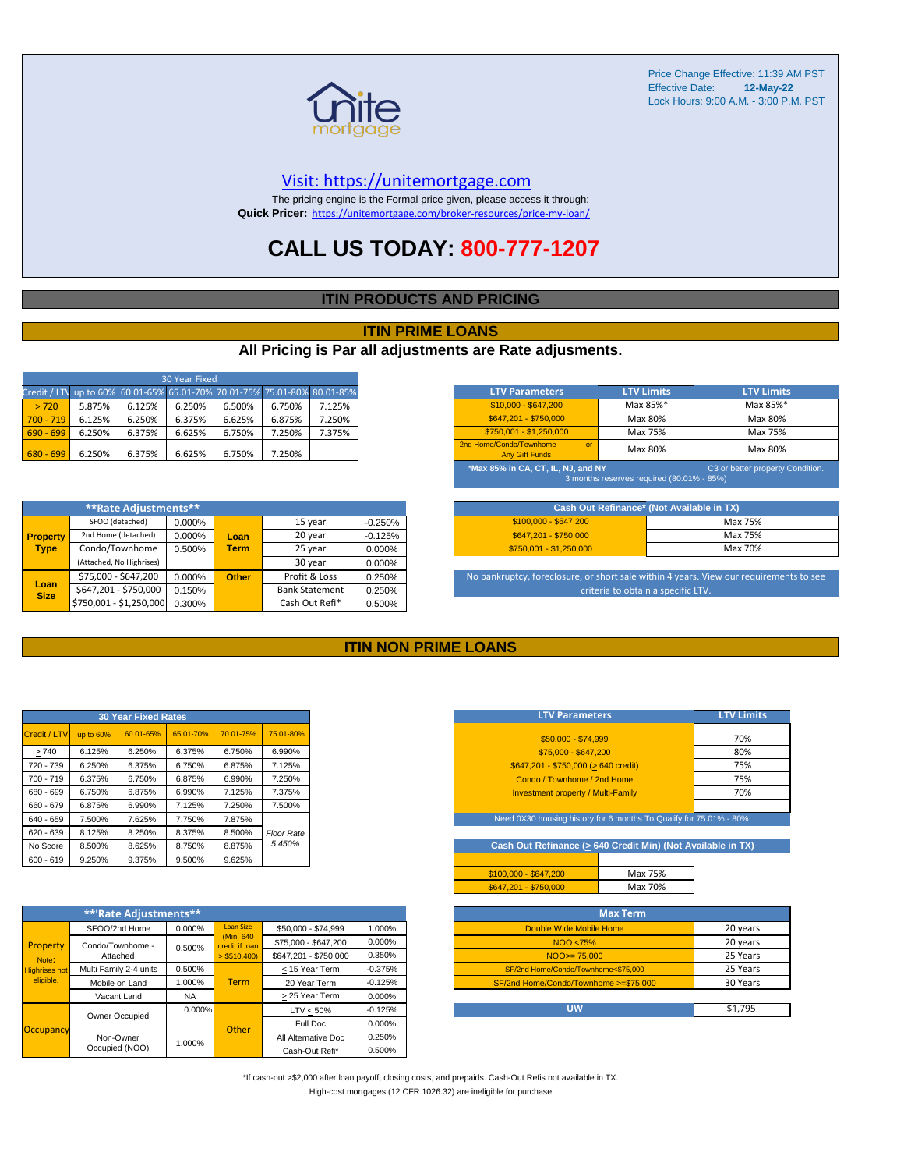

#### [V](https://unitemortgage.com/)isit: https://unitemortgage.com

The pricing engine is the Formal price given, please access it through: **Quick Pricer:** [https://un](https://unitemortgage.com/broker-resources/price-my-loan/)itemortgage.com/broker-resources/price-my-loan/

### **CALL US TODAY: 800-777-1207**

#### **ITIN PRODUCTS AND PRICING**

#### **ITIN PRIME LOANS**

#### **All Pricing is Par all adjustments are Rate adjusments.**

| 30 Year Fixed                                                            |        |        |        |        |        |        |
|--------------------------------------------------------------------------|--------|--------|--------|--------|--------|--------|
| Credit / LTV up to 60% 60.01-65% 65.01-70% 70.01-75% 75.01-80% 80.01-85% |        |        |        |        |        |        |
| > 720                                                                    | 5.875% | 6.125% | 6.250% | 6.500% | 6.750% | 7.125% |
| $700 - 719$                                                              | 6.125% | 6.250% | 6.375% | 6.625% | 6.875% | 7.250% |
| $690 - 699$                                                              | 6.250% | 6.375% | 6.625% | 6.750% | 7.250% | 7.375% |
| $680 - 699$                                                              | 6.250% | 6.375% | 6.625% | 6.750% | 7.250% |        |

|                 | **Rate Adjustments**          |        |              |                       |           |
|-----------------|-------------------------------|--------|--------------|-----------------------|-----------|
|                 | SFOO (detached)               | 0.000% |              | 15 year               | $-0.250%$ |
| <b>Property</b> | 2nd Home (detached)           | 0.000% | Loan         | 20 year               | $-0.125%$ |
| <b>Type</b>     | Condo/Townhome                | 0.500% | <b>Term</b>  | 25 year               | 0.000%    |
|                 | (Attached, No Highrises)      |        |              | 30 year               | 0.000%    |
|                 | \$75,000 - \$647,200          | 0.000% | <b>Other</b> | Profit & Loss         | 0.250%    |
| <b>Size</b>     | Loan<br>\$647,201 - \$750,000 | 0.150% |              | <b>Bank Statement</b> | 0.250%    |
|                 | \$750,001 - \$1,250,000       | 0.300% |              | Cash Out Refi*        | 0.500%    |

| <b>LTV Parameters</b>                                                                                               | <b>LTV Limits</b> | <b>LTV Limits</b> |  |  |  |  |
|---------------------------------------------------------------------------------------------------------------------|-------------------|-------------------|--|--|--|--|
| $$10,000 - $647,200$                                                                                                | Max 85%*          | Max 85%*          |  |  |  |  |
| \$647.201 - \$750.000                                                                                               | Max 80%           | Max 80%           |  |  |  |  |
| \$750.001 - \$1.250.000                                                                                             | Max 75%           | Max 75%           |  |  |  |  |
| 2nd Home/Condo/Townhome<br>$\alpha$ <sup>r</sup><br><b>Any Gift Funds</b>                                           | Max 80%           | Max 80%           |  |  |  |  |
| *Max 85% in CA, CT, IL, NJ, and NY<br>C3 or better property Condition.<br>3 months reserves required (80.01% - 85%) |                   |                   |  |  |  |  |

| Cash Out Refinance* (Not Available in TX) |         |  |  |  |  |
|-------------------------------------------|---------|--|--|--|--|
| $$100.000 - $647.200$                     | Max 75% |  |  |  |  |
| \$647.201 - \$750.000                     | Max 75% |  |  |  |  |
| $$750.001 - $1.250.000$                   | Max 70% |  |  |  |  |

No bankruptcy, foreclosure, or short sale within 4 years. View our requirements to see criteria to obtain a specific LTV.

#### **ITIN NON PRIME LOANS**

| <b>30 Year Fixed Rates</b> |           |           |           |           |                   |  |  |  |  |  |  |
|----------------------------|-----------|-----------|-----------|-----------|-------------------|--|--|--|--|--|--|
| Credit / LTV               | up to 60% | 60.01-65% | 65.01-70% | 70.01-75% | 75.01-80%         |  |  |  |  |  |  |
| >740                       | 6.125%    | 6.250%    | 6.375%    | 6.750%    | 6.990%            |  |  |  |  |  |  |
| 720 - 739                  | 6.250%    | 6.375%    | 6.750%    | 6.875%    | 7.125%            |  |  |  |  |  |  |
| $700 - 719$                | 6.375%    | 6.750%    | 6.875%    | 6.990%    | 7.250%            |  |  |  |  |  |  |
| 680 - 699                  | 6.750%    | 6.875%    | 6.990%    | 7.125%    | 7.375%            |  |  |  |  |  |  |
| 660 - 679                  | 6.875%    | 6.990%    | 7.125%    | 7.250%    | 7.500%            |  |  |  |  |  |  |
| 640 - 659                  | 7.500%    | 7.625%    | 7.750%    | 7.875%    |                   |  |  |  |  |  |  |
| 620 - 639                  | 8.125%    | 8.250%    | 8.375%    | 8.500%    | <b>Floor Rate</b> |  |  |  |  |  |  |
| No Score                   | 8.500%    | 8.625%    | 8.750%    | 8.875%    | 5.450%            |  |  |  |  |  |  |
| $600 - 619$                | 9.250%    | 9.375%    | 9.500%    | 9.625%    |                   |  |  |  |  |  |  |

|                                   | **'Rate Adjustments**  |           |                              |                       |           |
|-----------------------------------|------------------------|-----------|------------------------------|-----------------------|-----------|
|                                   | SFOO/2nd Home          | 0.000%    | <b>Loan Size</b>             | \$50,000 - \$74,999   | 1.000%    |
| Property                          | Condo/Townhome -       | 0.500%    | (Min. 640)<br>credit if Ioan | \$75,000 - \$647,200  | 0.000%    |
| Note:                             | Attached               |           | $>$ \$510,400)               | \$647,201 - \$750,000 | 0.350%    |
| <b>Highrises not</b><br>eligible. | Multi Family 2-4 units | 0.500%    |                              | < 15 Year Term        | $-0.375%$ |
|                                   | Mobile on Land         | 1.000%    | <b>Term</b>                  | 20 Year Term          | $-0.125%$ |
|                                   | Vacant Land            | <b>NA</b> |                              | > 25 Year Term        | 0.000%    |
|                                   | Owner Occupied         | $0.000\%$ |                              | $LTV < 50\%$          | $-0.125%$ |
| Occupancy                         |                        |           | Other                        | Full Doc              | 0.000%    |
|                                   | Non-Owner              | 1.000%    |                              | All Alternative Doc   | 0.250%    |
|                                   | Occupied (NOO)         |           |                              | Cash-Out Refi*        | 0.500%    |

| <b>LTV Parameters</b>                     | <b>LTV Limits</b> |
|-------------------------------------------|-------------------|
| \$50,000 - \$74,999                       | 70%               |
| \$75,000 - \$647,200                      | 80%               |
| \$647,201 - \$750,000 (> 640 credit)      | 75%               |
| Condo / Townhome / 2nd Home               | 75%               |
| <b>Investment property / Multi-Family</b> | 70%               |
|                                           |                   |

ed 0X30 housing history for 6 months To Qualify for 75.01%

Cash Out Refinance ( $\geq$  640 Credit Min) (Not Available in TX)

| $$100.000 - $647.200$ | Max 75% |
|-----------------------|---------|
| \$647.201 - \$750.000 | Max 70% |
|                       |         |

| <b>Max Term</b>                       |          |
|---------------------------------------|----------|
| Double Wide Mobile Home               | 20 years |
| NOO <75%                              | 20 years |
| $NOO > = 75,000$                      | 25 Years |
| SF/2nd Home/Condo/Townhome<\$75,000   | 25 Years |
| SF/2nd Home/Condo/Townhome >=\$75,000 | 30 Years |
|                                       |          |
| <b>LIW</b>                            | \$1,795  |

\*If cash-out >\$2,000 after loan payoff, closing costs, and prepaids. Cash-Out Refis not available in TX. High-cost mortgages (12 CFR 1026.32) are ineligible for purchase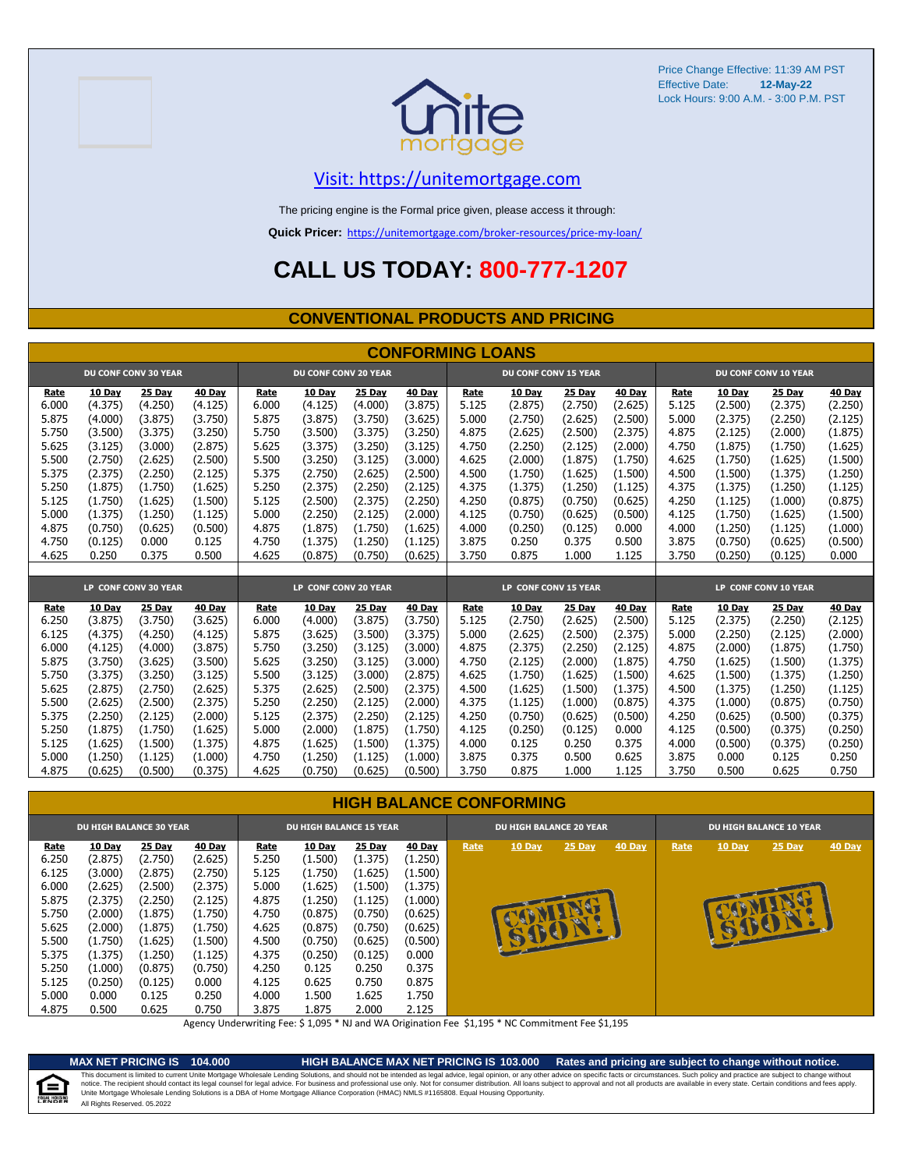



### [V](https://unitemortgage.com/)isit: https://unitemortgage.com

The pricing engine is the Formal price given, please access it through:

**Quick Pricer:** [https://un](https://unitemortgage.com/broker-resources/price-my-loan/)itemortgage.com/broker-resources/price-my-loan/

### **CALL US TODAY: 800-777-1207**

#### **CONVENTIONAL PRODUCTS AND PRICING**

|       |         |                             |         |                      |                             |         | <b>CONFORMING LOANS</b> |                             |         |         |         |                      |         |                             |         |
|-------|---------|-----------------------------|---------|----------------------|-----------------------------|---------|-------------------------|-----------------------------|---------|---------|---------|----------------------|---------|-----------------------------|---------|
|       |         | <b>DU CONF CONV 30 YEAR</b> |         |                      | <b>DU CONF CONV 20 YEAR</b> |         |                         | <b>DU CONF CONV 15 YEAR</b> |         |         |         |                      |         | <b>DU CONF CONV 10 YEAR</b> |         |
| Rate  | 10 Day  | 25 Day                      | 40 Day  | Rate                 | 10 Day                      | 25 Day  | 40 Day                  | Rate                        | 10 Day  | 25 Day  | 40 Day  | Rate                 | 10 Day  | 25 Day                      | 40 Dav  |
| 6.000 | (4.375) | (4.250)                     | (4.125) | 6.000                | (4.125)                     | (4.000) | (3.875)                 | 5.125                       | (2.875) | (2.750) | (2.625) | 5.125                | (2.500) | (2.375)                     | (2.250) |
| 5.875 | (4.000) | (3.875)                     | (3.750) | 5.875                | (3.875)                     | (3.750) | (3.625)                 | 5.000                       | (2.750) | (2.625) | (2.500) | 5.000                | (2.375) | (2.250)                     | (2.125) |
| 5.750 | (3.500) | (3.375)                     | (3.250) | 5.750                | (3.500)                     | (3.375) | (3.250)                 | 4.875                       | (2.625) | (2.500) | (2.375) | 4.875                | (2.125) | (2.000)                     | (1.875) |
| 5.625 | (3.125) | (3.000)                     | (2.875) | 5.625                | (3.375)                     | (3.250) | (3.125)                 | 4.750                       | (2.250) | (2.125) | (2.000) | 4.750                | (1.875) | (1.750)                     | (1.625) |
| 5.500 | (2.750) | (2.625)                     | (2.500) | 5.500                | (3.250)                     | (3.125) | (3.000)                 | 4.625                       | (2.000) | (1.875) | (1.750) | 4.625                | (1.750) | (1.625)                     | (1.500) |
| 5.375 | (2.375) | (2.250)                     | (2.125) | 5.375                | (2.750)                     | (2.625) | (2.500)                 | 4.500                       | (1.750) | (1.625) | (1.500) | 4.500                | (1.500) | (1.375)                     | (1.250) |
| 5.250 | (1.875) | (1.750)                     | (1.625) | 5.250                | (2.375)                     | (2.250) | (2.125)                 | 4.375                       | (1.375) | (1.250) | (1.125) | 4.375                | (1.375) | (1.250)                     | (1.125) |
| 5.125 | (1.750) | (1.625)                     | (1.500) | 5.125                | (2.500)                     | (2.375) | (2.250)                 | 4.250                       | (0.875) | (0.750) | (0.625) | 4.250                | (1.125) | (1.000)                     | (0.875) |
| 5.000 | (1.375) | (1.250)                     | (1.125) | 5.000                | (2.250)                     | (2.125) | (2.000)                 | 4.125                       | (0.750) | (0.625) | (0.500) | 4.125                | (1.750) | (1.625)                     | (1.500) |
| 4.875 | (0.750) | (0.625)                     | (0.500) | 4.875                | (1.875)                     | (1.750) | (1.625)                 | 4.000                       | (0.250) | (0.125) | 0.000   | 4.000                | (1.250) | (1.125)                     | (1.000) |
| 4.750 | (0.125) | 0.000                       | 0.125   | 4.750                | (1.375)                     | (1.250) | (1.125)                 | 3.875                       | 0.250   | 0.375   | 0.500   | 3.875                | (0.750) | (0.625)                     | (0.500) |
| 4.625 | 0.250   | 0.375                       | 0.500   | 4.625                | (0.875)                     | (0.750) | (0.625)                 | 3.750                       | 0.875   | 1.000   | 1.125   | 3.750                | (0.250) | (0.125)                     | 0.000   |
|       |         |                             |         |                      |                             |         |                         |                             |         |         |         |                      |         |                             |         |
|       |         | LP CONF CONV 30 YEAR        |         | LP CONF CONV 20 YEAR |                             |         | LP CONF CONV 15 YEAR    |                             |         |         |         | LP CONF CONV 10 YEAR |         |                             |         |
| Rate  | 10 Dav  | 25 Dav                      | 40 Day  | Rate                 | 10 Dav                      | 25 Dav  | 40 Dav                  | Rate                        | 10 Dav  | 25 Dav  | 40 Dav  | Rate                 | 10 Dav  | 25 Dav                      | 40 Dav  |
| 6.250 | (3.875) | (3.750)                     | (3.625) | 6.000                | (4.000)                     | (3.875) | (3.750)                 | 5.125                       | (2.750) | (2.625) | (2.500) | 5.125                | (2.375) | (2.250)                     | (2.125) |
| 6.125 | (4.375) | (4.250)                     | (4.125) | 5.875                | (3.625)                     | (3.500) | (3.375)                 | 5.000                       | (2.625) | (2.500) | (2.375) | 5.000                | (2.250) | (2.125)                     | (2.000) |
| 6.000 | (4.125) | (4.000)                     | (3.875) | 5.750                | (3.250)                     | (3.125) | (3.000)                 | 4.875                       | (2.375) | (2.250) | (2.125) | 4.875                | (2.000) | (1.875)                     | (1.750) |
| 5.875 | (3.750) | (3.625)                     | (3.500) | 5.625                | (3.250)                     | (3.125) | (3.000)                 | 4.750                       | (2.125) | (2.000) | (1.875) | 4.750                | (1.625) | (1.500)                     | (1.375) |
| 5.750 | (3.375) | (3.250)                     | (3.125) | 5.500                | (3.125)                     | (3.000) | (2.875)                 | 4.625                       | (1.750) | (1.625) | (1.500) | 4.625                | (1.500) | (1.375)                     | (1.250) |
| 5.625 | (2.875) | (2.750)                     | (2.625) | 5.375                | (2.625)                     | (2.500) | (2.375)                 | 4.500                       | (1.625) | (1.500) | (1.375) | 4.500                | (1.375) | (1.250)                     | (1.125) |
| 5.500 | (2.625) | (2.500)                     | (2.375) | 5.250                | (2.250)                     | (2.125) | (2.000)                 | 4.375                       | (1.125) | (1.000) | (0.875) | 4.375                | (1.000) | (0.875)                     | (0.750) |
| 5.375 | (2.250) | (2.125)                     | (2.000) | 5.125                | (2.375)                     | (2.250) | (2.125)                 | 4.250                       | (0.750) | (0.625) | (0.500) | 4.250                | (0.625) | (0.500)                     | (0.375) |
| 5.250 | (1.875) | (1.750)                     | (1.625) | 5.000                | (2.000)                     | (1.875) | (1.750)                 | 4.125                       | (0.250) | (0.125) | 0.000   | 4.125                | (0.500) | (0.375)                     | (0.250) |
| 5.125 | (1.625) | (1.500)                     | (1.375) | 4.875                | (1.625)                     | (1.500) | (1.375)                 | 4.000                       | 0.125   | 0.250   | 0.375   | 4.000                | (0.500) | (0.375)                     | (0.250) |
| 5.000 | (1.250) | (1.125)                     | (1.000) | 4.750                | (1.250)                     | (1.125) | (1.000)                 | 3.875                       | 0.375   | 0.500   | 0.625   | 3.875                | 0.000   | 0.125                       | 0.250   |
| 4.875 | (0.625) | (0.500)                     | (0.375) | 4.625                | (0.750)                     | (0.625) | (0.500)                 | 3.750                       | 0.875   | 1.000   | 1.125   | 3.750                | 0.500   | 0.625                       | 0.750   |

#### **HIGH BALANCE CONFORMING**

| <b>DU HIGH BALANCE 30 YEAR</b> |         |         | <b>DU HIGH BALANCE 15 YEAR</b> |       |               | <b>DU HIGH BALANCE 20 YEAR</b> |         |      | <b>DU HIGH BALANCE 10 YEAR</b> |               |        |      |               |          |               |
|--------------------------------|---------|---------|--------------------------------|-------|---------------|--------------------------------|---------|------|--------------------------------|---------------|--------|------|---------------|----------|---------------|
| Rate                           | 10 Day  | 25 Day  | 40 Day                         | Rate  | <b>10 Day</b> | 25 Day                         | 40 Day  | Rate | <b>10 Day</b>                  | <b>25 Day</b> | 40 Day | Rate | <b>10 Day</b> | $25$ Day | <b>40 Day</b> |
| 6.250                          | (2.875) | (2.750) | (2.625)                        | 5.250 | (1.500)       | (1.375)                        | (1.250) |      |                                |               |        |      |               |          |               |
| 6.125                          | (3.000) | (2.875) | (2.750)                        | 5.125 | (1.750)       | (1.625)                        | (1.500) |      |                                |               |        |      |               |          |               |
| 6.000                          | (2.625) | (2.500) | (2.375)                        | 5.000 | (1.625)       | (1.500)                        | (1.375) |      |                                |               |        |      |               |          |               |
| 5.875                          | (2.375) | (2.250) | (2.125)                        | 4.875 | (1.250)       | (1.125)                        | (1.000) |      |                                |               |        |      |               |          |               |
| 5.750                          | (2.000) | (1.875) | (1.750)                        | 4.750 | (0.875)       | (0.750)                        | (0.625) |      |                                |               |        |      |               |          |               |
| 5.625                          | (2.000) | (1.875) | (1.750)                        | 4.625 | (0.875)       | (0.750)                        | (0.625) |      | <b>UCLE</b>                    |               |        |      | U<br>崎        | E        |               |
| 5.500                          | (1.750) | (1.625) | (1.500)                        | 4.500 | (0.750)       | (0.625)                        | (0.500) |      |                                |               |        |      |               |          |               |
| 5.375                          | (1.375) | (1.250) | (1.125)                        | 4.375 | (0.250)       | (0.125)                        | 0.000   |      |                                |               |        |      |               |          |               |
| 5.250                          | (1.000) | (0.875) | (0.750)                        | 4.250 | 0.125         | 0.250                          | 0.375   |      |                                |               |        |      |               |          |               |
| 5.125                          | (0.250) | (0.125) | 0.000                          | 4.125 | 0.625         | 0.750                          | 0.875   |      |                                |               |        |      |               |          |               |
| 5.000                          | 0.000   | 0.125   | 0.250                          | 4.000 | L.500         | 1.625                          | 1.750   |      |                                |               |        |      |               |          |               |
| 4.875                          | 0.500   | 0.625   | 0.750                          | 3.875 | 875           | 2.000                          | 2.125   |      |                                |               |        |      |               |          |               |

Agency Underwriting Fee: \$ 1,095 \* NJ and WA Origination Fee \$1,195 \* NC Commitment Fee \$1,195



**MAX NET PRICING IS 104.000 HIGH BALANCE MAX NET PRICING IS 103.000 Rates and pricing are subject to change without notice.** All Rights Reserved. 05.2022 This document is limited to current Unite Mortgage Wholesale Lending Solutions, and should not be intended as legal advice, legal opinion, or any other advice on specific facts or circumstances. Such policy and practice ar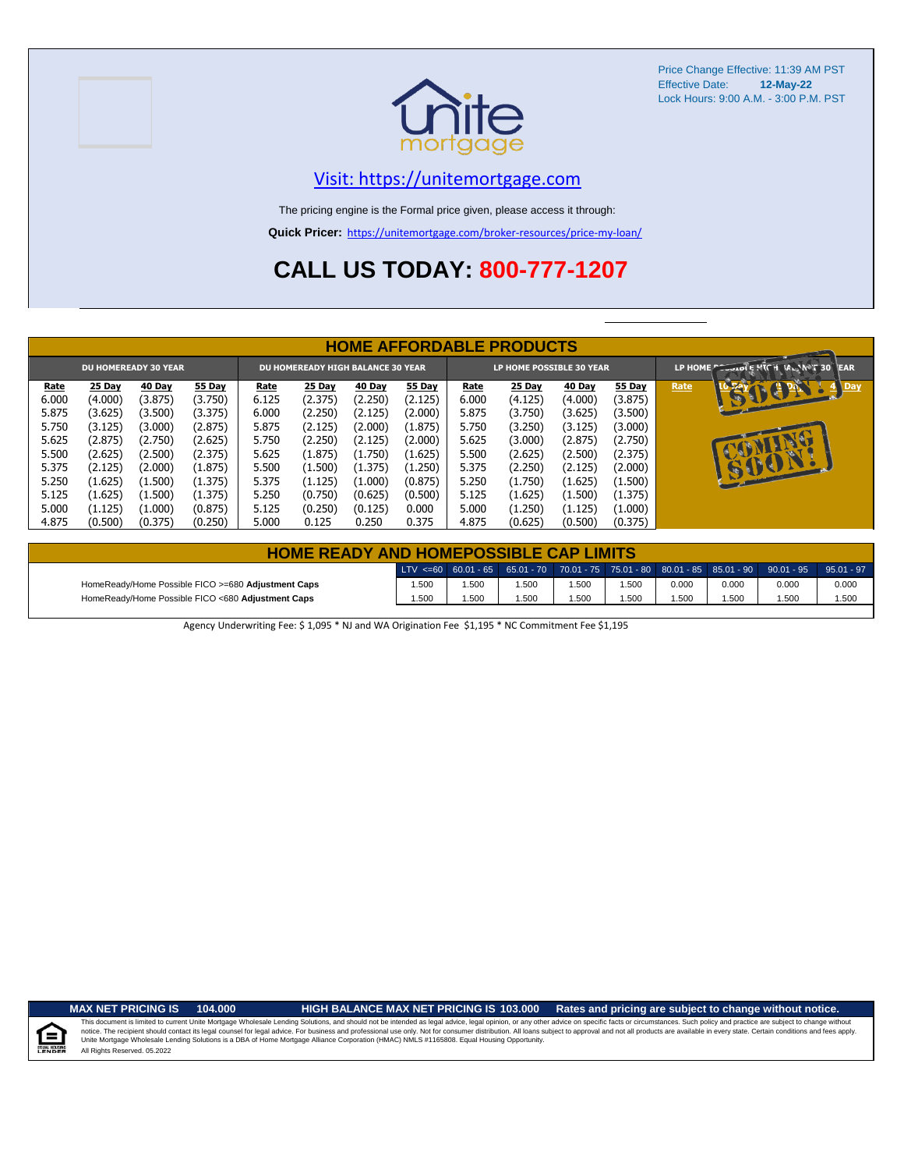



#### [V](https://unitemortgage.com/)isit: https://unitemortgage.com

The pricing engine is the Formal price given, please access it through:

**Quick Pricer:** [https://un](https://unitemortgage.com/broker-resources/price-my-loan/)itemortgage.com/broker-resources/price-my-loan/

## **CALL US TODAY: 800-777-1207**

|       | <b>HOME AFFORDABLE PRODUCTS</b>                                  |               |               |       |                                 |         |         |       |                                      |         |               |      |                          |
|-------|------------------------------------------------------------------|---------------|---------------|-------|---------------------------------|---------|---------|-------|--------------------------------------|---------|---------------|------|--------------------------|
|       | <b>DU HOMEREADY 30 YEAR</b><br>DU HOMEREADY HIGH BALANCE 30 YEAR |               |               |       | <b>LP HOME POSSIBLE 30 YEAR</b> |         |         |       | LP HOME COOLDIE HIGH VAL ANT 30 TEAR |         |               |      |                          |
| Rate  | 25 Day                                                           | <b>40 Day</b> | <b>55 Day</b> | Rate  | 25 Day                          | 40 Day  | 55 Day  | Rate  | <b>25 Day</b>                        | 40 Day  | <b>55 Day</b> | Rate | <b>CEPTER</b><br>$4$ Day |
| 6.000 | (4.000)                                                          | (3.875)       | (3.750)       | 6.125 | (2.375)                         | (2.250) | (2.125) | 6.000 | (4.125)                              | (4.000) | (3.875)       |      |                          |
| 5.875 | (3.625)                                                          | (3.500)       | (3.375)       | 6.000 | (2.250)                         | (2.125) | (2.000) | 5.875 | (3.750)                              | (3.625) | (3.500)       |      |                          |
| 5.750 | (3.125)                                                          | (3.000)       | (2.875)       | 5.875 | (2.125)                         | (2.000) | (1.875) | 5.750 | (3.250)                              | (3.125) | (3.000)       |      |                          |
| 5.625 | (2.875)                                                          | (2.750)       | (2.625)       | 5.750 | (2.250)                         | (2.125) | (2.000) | 5.625 | (3.000)                              | (2.875) | (2.750)       |      |                          |
| 5.500 | (2.625)                                                          | (2.500)       | (2.375)       | 5.625 | (1.875)                         | (1.750) | (1.625) | 5.500 | (2.625)                              | (2.500) | (2.375)       |      |                          |
| 5.375 | (2.125)                                                          | (2.000)       | (1.875)       | 5.500 | (1.500)                         | (1.375) | (1.250) | 5.375 | (2.250)                              | (2.125) | (2.000)       |      | 15001                    |
| 5.250 | (1.625)                                                          | (1.500)       | (1.375)       | 5.375 | (1.125)                         | (1.000) | (0.875) | 5.250 | (1.750)                              | (1.625) | (1.500)       |      |                          |
| 5.125 | (1.625)                                                          | (1.500)       | (1.375)       | 5.250 | (0.750)                         | (0.625) | (0.500) | 5.125 | (1.625)                              | (1.500) | (1.375)       |      |                          |
| 5.000 | (1.125)                                                          | (1.000)       | (0.875)       | 5.125 | (0.250)                         | (0.125) | 0.000   | 5.000 | (1.250)                              | (1.125) | (1.000)       |      |                          |
| 4.875 | (0.500)                                                          | (0.375)       | (0.250)       | 5.000 | 0.125                           | 0.250   | 0.375   | 4.875 | (0.625)                              | (0.500) | (0.375)       |      |                          |

| <b>HOME READY AND HOMEPOSSIBLE CAP LIMITS</b>      |      |       |                                                                                       |      |      |       |       |       |              |  |
|----------------------------------------------------|------|-------|---------------------------------------------------------------------------------------|------|------|-------|-------|-------|--------------|--|
|                                                    |      |       | LTV <=60 60.01 - 65 65.01 - 70 70.01 - 75 75.01 - 80 80.01 - 85 85.01 - 90 90.01 - 95 |      |      |       |       |       | $95.01 - 97$ |  |
| HomeReady/Home Possible FICO >=680 Adjustment Caps | .500 | 1.500 | .500                                                                                  | .500 | .500 | 0.000 | 0.000 | 0.000 | 0.000        |  |
| HomeReady/Home Possible FICO <680 Adjustment Caps  | .500 | 1.500 | .500                                                                                  | .500 | .500 | .500  | .500  | .500  | 1.500        |  |

Agency Underwriting Fee: \$ 1,095 \* NJ and WA Origination Fee \$1,195 \* NC Commitment Fee \$1,195

E

**MAX NET PRICING IS 104.000 HIGH BALANCE MAX NET PRICING IS 103.000 Rates and pricing are subject to change without notice.**

All Rights Reserved. 05.2022 This document is limited to current Unite Mortgage Wholesale Lending Solutions, and should not be intended as legal advice, legal opinion, or any other advice on specific facts or circumstances. Such policy and practice ar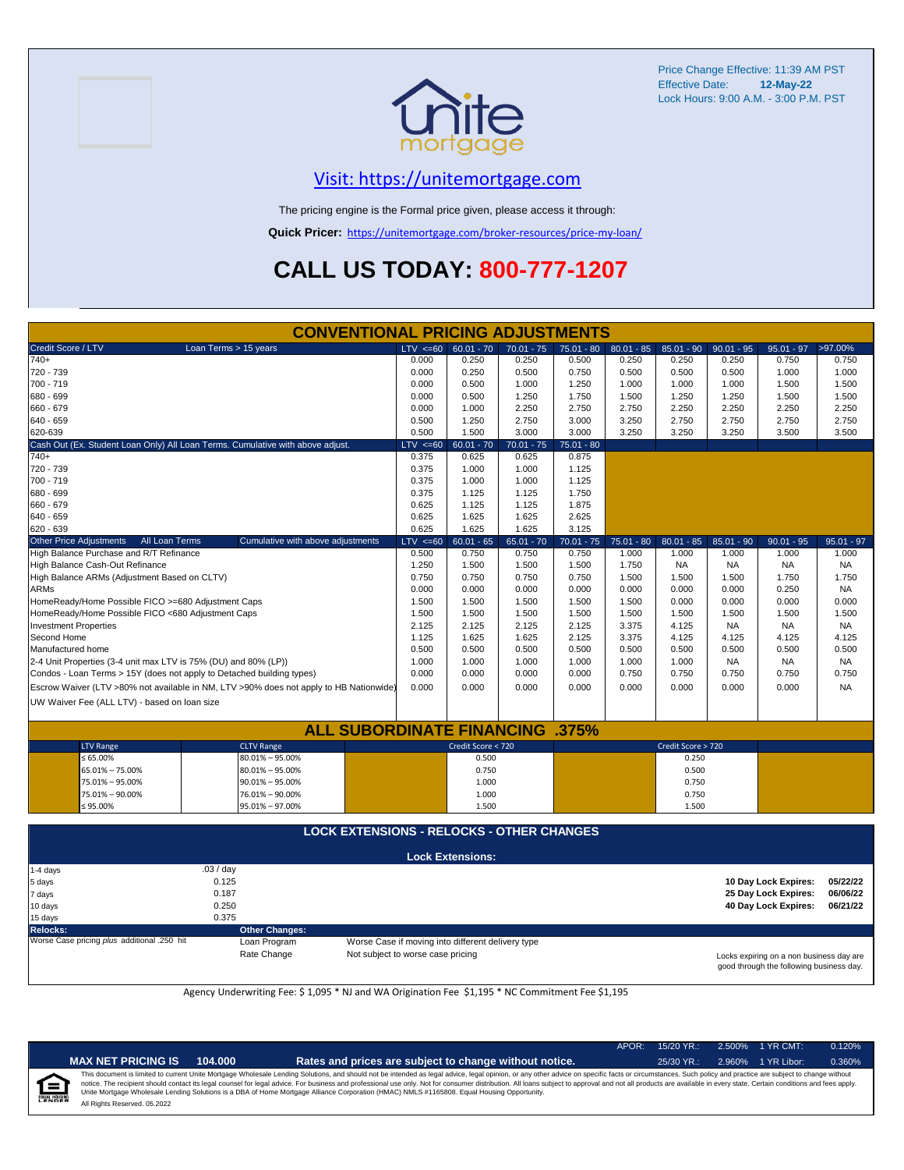



### [V](https://unitemortgage.com/)isit: https://unitemortgage.com

The pricing engine is the Formal price given, please access it through:

**Quick Pricer:** [https://un](https://unitemortgage.com/broker-resources/price-my-loan/)itemortgage.com/broker-resources/price-my-loan/

# **CALL US TODAY: 800-777-1207**

|                                                                       | <b>CONVENTIONAL PRICING ADJUSTMENTS</b>                                                |              |                         |              |              |              |                    |              |              |              |
|-----------------------------------------------------------------------|----------------------------------------------------------------------------------------|--------------|-------------------------|--------------|--------------|--------------|--------------------|--------------|--------------|--------------|
| Credit Score / LTV                                                    | Loan Terms > 15 years                                                                  | $LTV \le 60$ | $60.01 - 70$            | $70.01 - 75$ | $75.01 - 80$ | $80.01 - 85$ | $85.01 - 90$       | $90.01 - 95$ | $95.01 - 97$ | >97.00%      |
| $740+$                                                                |                                                                                        | 0.000        | 0.250                   | 0.250        | 0.500        | 0.250        | 0.250              | 0.250        | 0.750        | 0.750        |
| 720 - 739                                                             |                                                                                        | 0.000        | 0.250                   | 0.500        | 0.750        | 0.500        | 0.500              | 0.500        | 1.000        | 1.000        |
| 700 - 719                                                             |                                                                                        | 0.000        | 0.500                   | 1.000        | 1.250        | 1.000        | 1.000              | 1.000        | 1.500        | 1.500        |
| 680 - 699                                                             | 0.000                                                                                  | 0.500        | 1.250                   | 1.750        | 1.500        | 1.250        | 1.250              | 1.500        | 1.500        |              |
| 660 - 679                                                             |                                                                                        | 0.000        | 1.000                   | 2.250        | 2.750        | 2.750        | 2.250              | 2.250        | 2.250        | 2.250        |
| 640 - 659                                                             |                                                                                        | 0.500        | 1.250                   | 2.750        | 3.000        | 3.250        | 2.750              | 2.750        | 2.750        | 2.750        |
| 620-639                                                               |                                                                                        | 0.500        | 1.500                   | 3.000        | 3.000        | 3.250        | 3.250              | 3.250        | 3.500        | 3.500        |
|                                                                       | Cash Out (Ex. Student Loan Only) All Loan Terms. Cumulative with above adjust.         | $LTV \le 60$ | $60.01 - 70$            | $70.01 - 75$ | $75.01 - 80$ |              |                    |              |              |              |
| $740+$                                                                |                                                                                        | 0.375        | 0.625                   | 0.625        | 0.875        |              |                    |              |              |              |
| 720 - 739                                                             |                                                                                        | 0.375        | 1.000                   | 1.000        | 1.125        |              |                    |              |              |              |
| 700 - 719                                                             |                                                                                        | 0.375        | 1.000                   | 1.000        | 1.125        |              |                    |              |              |              |
| 680 - 699                                                             |                                                                                        | 0.375        | 1.125                   | 1.125        | 1.750        |              |                    |              |              |              |
| 660 - 679                                                             |                                                                                        | 0.625        | 1.125                   | 1.125        | 1.875        |              |                    |              |              |              |
| 640 - 659                                                             |                                                                                        | 0.625        | 1.625                   | 1.625        | 2.625        |              |                    |              |              |              |
| 620 - 639                                                             |                                                                                        | 0.625        | 1.625                   | 1.625        | 3.125        |              |                    |              |              |              |
| <b>Other Price Adjustments</b><br>All Loan Terms                      | Cumulative with above adjustments                                                      | $LTV \le 60$ | $60.01 - 65$            | $65.01 - 70$ | $70.01 - 75$ | $75.01 - 80$ | $80.01 - 85$       | $85.01 - 90$ | $90.01 - 95$ | $95.01 - 97$ |
| High Balance Purchase and R/T Refinance                               |                                                                                        | 0.500        | 0.750                   | 0.750        | 0.750        | 1.000        | 1.000              | 1.000        | 1.000        | 1.000        |
| High Balance Cash-Out Refinance                                       |                                                                                        | 1.250        | 1.500                   | 1.500        | 1.500        | 1.750        | <b>NA</b>          | <b>NA</b>    | <b>NA</b>    | <b>NA</b>    |
| High Balance ARMs (Adjustment Based on CLTV)                          |                                                                                        | 0.750        | 0.750                   | 0.750        | 0.750        | 1.500        | 1.500              | 1.500        | 1.750        | 1.750        |
| <b>ARMs</b>                                                           |                                                                                        | 0.000        | 0.000                   | 0.000        | 0.000        | 0.000        | 0.000              | 0.000        | 0.250        | <b>NA</b>    |
| HomeReady/Home Possible FICO >=680 Adjustment Caps                    |                                                                                        | 1.500        | 1.500                   | 1.500        | 1.500        | 1.500        | 0.000              | 0.000        | 0.000        | 0.000        |
| HomeReady/Home Possible FICO <680 Adjustment Caps                     |                                                                                        | 1.500        | 1.500                   | 1.500        | 1.500        | 1.500        | 1.500              | 1.500        | 1.500        | 1.500        |
| <b>Investment Properties</b>                                          |                                                                                        | 2.125        | 2.125                   | 2.125        | 2.125        | 3.375        | 4.125              | <b>NA</b>    | <b>NA</b>    | <b>NA</b>    |
| Second Home                                                           |                                                                                        | 1.125        | 1.625                   | 1.625        | 2.125        | 3.375        | 4.125              | 4.125        | 4.125        | 4.125        |
| Manufactured home                                                     |                                                                                        | 0.500        | 0.500                   | 0.500        | 0.500        | 0.500        | 0.500              | 0.500        | 0.500        | 0.500        |
| 2-4 Unit Properties (3-4 unit max LTV is 75% (DU) and 80% (LP))       |                                                                                        | 1.000        | 1.000                   | 1.000        | 1.000        | 1.000        | 1.000              | <b>NA</b>    | <b>NA</b>    | <b>NA</b>    |
| Condos - Loan Terms > 15Y (does not apply to Detached building types) |                                                                                        | 0.000        | 0.000                   | 0.000        | 0.000        | 0.750        | 0.750              | 0.750        | 0.750        | 0.750        |
|                                                                       | Escrow Waiver (LTV >80% not available in NM, LTV >90% does not apply to HB Nationwide) | 0.000        | 0.000                   | 0.000        | 0.000        | 0.000        | 0.000              | 0.000        | 0.000        | <b>NA</b>    |
| UW Waiver Fee (ALL LTV) - based on loan size                          |                                                                                        |              |                         |              |              |              |                    |              |              |              |
|                                                                       |                                                                                        |              |                         |              |              |              |                    |              |              |              |
|                                                                       | <b>ALL SUBORDINATE FINANCING .375%</b>                                                 |              |                         |              |              |              |                    |              |              |              |
| <b>LTV Range</b>                                                      | <b>CLTV Range</b>                                                                      |              | Credit Score < 720      |              |              |              | Credit Score > 720 |              |              |              |
| $\leq 65.00\%$                                                        | 80.01% - 95.00%                                                                        |              | 0.500                   |              |              |              | 0.250              |              |              |              |
| 65.01% - 75.00%                                                       |                                                                                        | 0.750        |                         |              |              | 0.500        |                    |              |              |              |
| 75.01% - 95.00%                                                       |                                                                                        | 1.000        |                         |              |              | 0.750        |                    |              |              |              |
| 75.01% - 90.00%                                                       |                                                                                        | 1.000        |                         |              |              | 0.750        |                    |              |              |              |
| ≤ 95.00%                                                              | 95.01% - 97.00%                                                                        |              | 1.500                   |              |              |              | 1.500              |              |              |              |
|                                                                       |                                                                                        |              |                         |              |              |              |                    |              |              |              |
| <b>LOCK EXTENSIONS - RELOCKS - OTHER CHANGES</b>                      |                                                                                        |              |                         |              |              |              |                    |              |              |              |
|                                                                       |                                                                                        |              | <b>Lock Extensions:</b> |              |              |              |                    |              |              |              |
| 1-4 days                                                              | .03/day                                                                                |              |                         |              |              |              |                    |              |              |              |

| i ≔+ uayo<br>5 days<br>7 days<br>10 days    | $.007 \, \text{day}$<br>0.125<br>0.187<br>0.250 |                                                   | 10 Day Lock Expires:<br>25 Day Lock Expires:<br>40 Day Lock Expires:                 | 05/22/22<br>06/06/22<br>06/21/22 |
|---------------------------------------------|-------------------------------------------------|---------------------------------------------------|--------------------------------------------------------------------------------------|----------------------------------|
| 15 days                                     | 0.375                                           |                                                   |                                                                                      |                                  |
| Relocks:                                    | <b>Other Changes:</b>                           |                                                   |                                                                                      |                                  |
| Worse Case pricing plus additional .250 hit | Loan Program                                    | Worse Case if moving into different delivery type |                                                                                      |                                  |
|                                             | Rate Change                                     | Not subject to worse case pricing                 | Locks expiring on a non business day are<br>good through the following business day. |                                  |

Agency Underwriting Fee: \$ 1,095 \* NJ and WA Origination Fee \$1,195 \* NC Commitment Fee \$1,195

| ñ |  |
|---|--|

| <b>ET PRICING IS</b><br>104.000 |
|---------------------------------|
|---------------------------------|

APOR: 15/20 YR.: 2.500% 1 YR CMT: 0.120%

AX NET PRICING IS 104.000 **Rates and prices are subject to change without notice.** 25/30 YR.: 2.960% 1 YR Libor: 0.360% All Rights Reserved. 05.2022 This document is limited to current Unite Mortgage Wholesale Lending Solutions, and should not be intended as legal advice, legal opinion, or any other advice on specific facts or circumstances. Such policy and practice ar